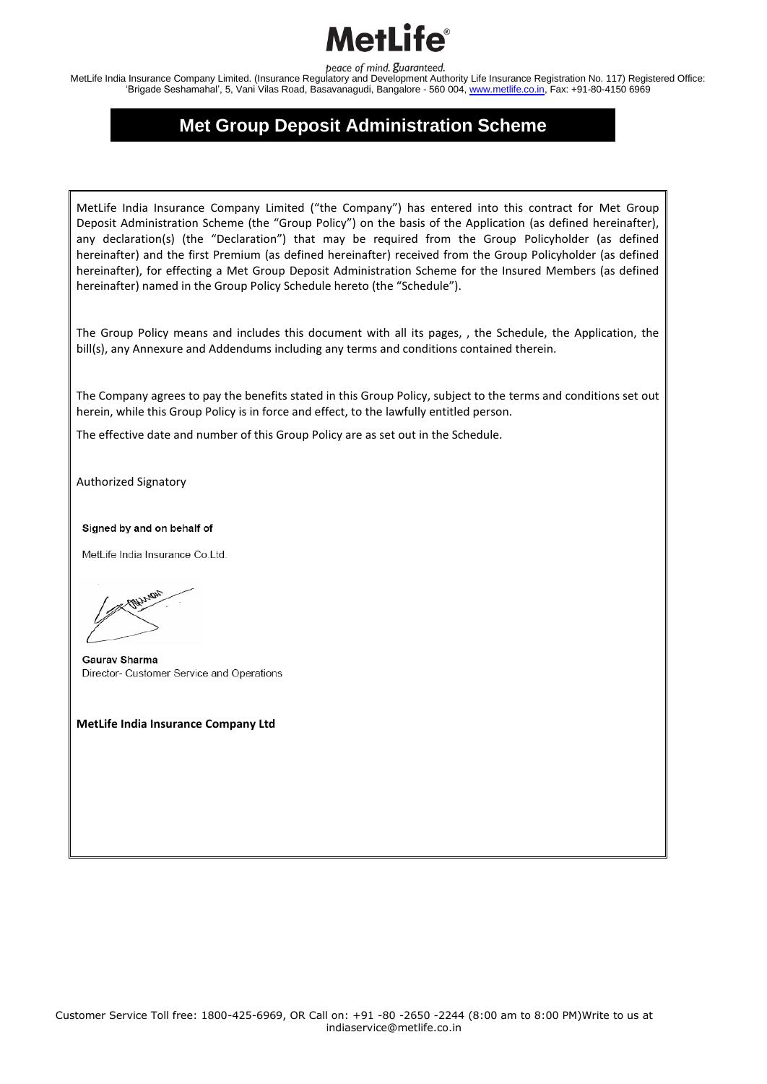#### otl il

peace of mind. guaranteed.

MetLife India Insurance Company Limited. (Insurance Regulatory and Development Authority Life Insurance Registration No. 117) Registered Office: 'Brigade Seshamahal', 5, Vani Vilas Road, Basavanagudi, Bangalore - 560 004, www.metlife.co.in, Fax: +91-80-4150 6969

#### **Met Group Deposit Administration Scheme**

MetLife India Insurance Company Limited ("the Company") has entered into this contract for Met Group Deposit Administration Scheme (the "Group Policy") on the basis of the Application (as defined hereinafter), any declaration(s) (the "Declaration") that may be required from the Group Policyholder (as defined hereinafter) and the first Premium (as defined hereinafter) received from the Group Policyholder (as defined hereinafter), for effecting a Met Group Deposit Administration Scheme for the Insured Members (as defined hereinafter) named in the Group Policy Schedule hereto (the "Schedule").

The Group Policy means and includes this document with all its pages, , the Schedule, the Application, the bill(s), any Annexure and Addendums including any terms and conditions contained therein.

The Company agrees to pay the benefits stated in this Group Policy, subject to the terms and conditions set out herein, while this Group Policy is in force and effect, to the lawfully entitled person.

The effective date and number of this Group Policy are as set out in the Schedule.

Authorized Signatory

Signed by and on behalf of

MetLife India Insurance Co.Ltd.

Gauray Sharma Director- Customer Service and Operations

**MetLife India Insurance Company Ltd**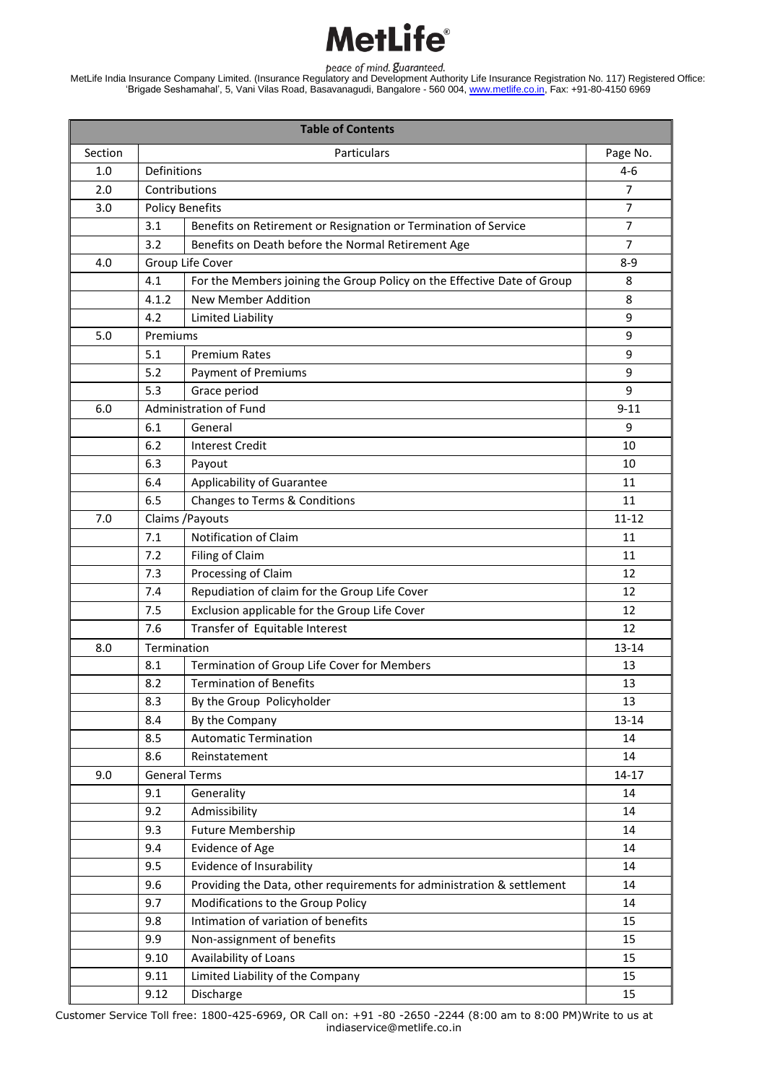MetLife India Insurance Company Limited. (Insurance Regulatory and Development Authority Life Insurance Registration No. 117) Registered Office: 'Brigade Seshamahal', 5, Vani Vilas Road, Basavanagudi, Bangalore - 560 004, www.metlife.co.in, Fax: +91-80-4150 6969

| <b>Table of Contents</b> |               |                                                                         |                |  |  |  |
|--------------------------|---------------|-------------------------------------------------------------------------|----------------|--|--|--|
| Section                  |               | Page No.                                                                |                |  |  |  |
| 1.0                      |               | Definitions                                                             |                |  |  |  |
| 2.0                      | Contributions | $\overline{7}$                                                          |                |  |  |  |
| 3.0                      |               | <b>Policy Benefits</b>                                                  | 7              |  |  |  |
|                          | 3.1           | Benefits on Retirement or Resignation or Termination of Service         | $\overline{7}$ |  |  |  |
|                          | 3.2           | Benefits on Death before the Normal Retirement Age                      | $\overline{7}$ |  |  |  |
| 4.0                      |               | Group Life Cover                                                        | $8 - 9$        |  |  |  |
|                          | 4.1           | For the Members joining the Group Policy on the Effective Date of Group | 8              |  |  |  |
|                          | 4.1.2         | <b>New Member Addition</b>                                              | 8              |  |  |  |
|                          | 4.2           | Limited Liability                                                       | 9              |  |  |  |
| 5.0                      | Premiums      |                                                                         | 9              |  |  |  |
|                          | 5.1           | <b>Premium Rates</b>                                                    | 9              |  |  |  |
|                          | 5.2           | <b>Payment of Premiums</b>                                              | 9              |  |  |  |
|                          | 5.3           | Grace period                                                            | 9              |  |  |  |
| 6.0                      |               | Administration of Fund                                                  | $9 - 11$       |  |  |  |
|                          | 6.1           | General                                                                 | 9              |  |  |  |
|                          | 6.2           | <b>Interest Credit</b>                                                  | 10             |  |  |  |
|                          | 6.3           | Payout                                                                  | 10             |  |  |  |
|                          | 6.4           | Applicability of Guarantee                                              | 11             |  |  |  |
|                          | 6.5           | Changes to Terms & Conditions                                           | 11             |  |  |  |
| 7.0                      |               | Claims / Payouts                                                        | $11 - 12$      |  |  |  |
|                          | 7.1           | Notification of Claim                                                   | 11             |  |  |  |
|                          | 7.2           | Filing of Claim                                                         | 11             |  |  |  |
|                          | 7.3           | Processing of Claim                                                     | 12             |  |  |  |
|                          | 7.4           | Repudiation of claim for the Group Life Cover                           | 12             |  |  |  |
|                          | 7.5           | Exclusion applicable for the Group Life Cover                           | 12             |  |  |  |
|                          | 7.6           | Transfer of Equitable Interest                                          | 12             |  |  |  |
| 8.0                      | Termination   |                                                                         | $13 - 14$      |  |  |  |
|                          | 8.1           | Termination of Group Life Cover for Members                             | 13             |  |  |  |
|                          | 8.2           | <b>Termination of Benefits</b>                                          | 13             |  |  |  |
|                          | 8.3           | By the Group Policyholder                                               | 13             |  |  |  |
|                          | 8.4           | By the Company                                                          | 13-14          |  |  |  |
|                          | 8.5           | <b>Automatic Termination</b>                                            | 14             |  |  |  |
|                          | 8.6           | Reinstatement                                                           | 14             |  |  |  |
| 9.0                      |               | <b>General Terms</b>                                                    | $14-17$        |  |  |  |
|                          | 9.1           | Generality                                                              | 14             |  |  |  |
|                          | 9.2           | Admissibility                                                           | 14             |  |  |  |
|                          | 9.3           | <b>Future Membership</b>                                                | 14             |  |  |  |
|                          | 9.4           | <b>Evidence of Age</b>                                                  | 14             |  |  |  |
|                          | 9.5           | Evidence of Insurability                                                | 14             |  |  |  |
|                          | 9.6           | Providing the Data, other requirements for administration & settlement  | 14             |  |  |  |
|                          | 9.7           | Modifications to the Group Policy                                       | 14             |  |  |  |
|                          | 9.8           | Intimation of variation of benefits                                     | 15             |  |  |  |
|                          | 9.9           | Non-assignment of benefits                                              | 15             |  |  |  |
|                          | 9.10          | Availability of Loans                                                   | 15             |  |  |  |
|                          | 9.11          | Limited Liability of the Company                                        | 15             |  |  |  |
|                          | 9.12          | Discharge                                                               | 15             |  |  |  |

Customer Service Toll free: 1800-425-6969, OR Call on: +91 -80 -2650 -2244 (8:00 am to 8:00 PM)Write to us at indiaservice@metlife.co.in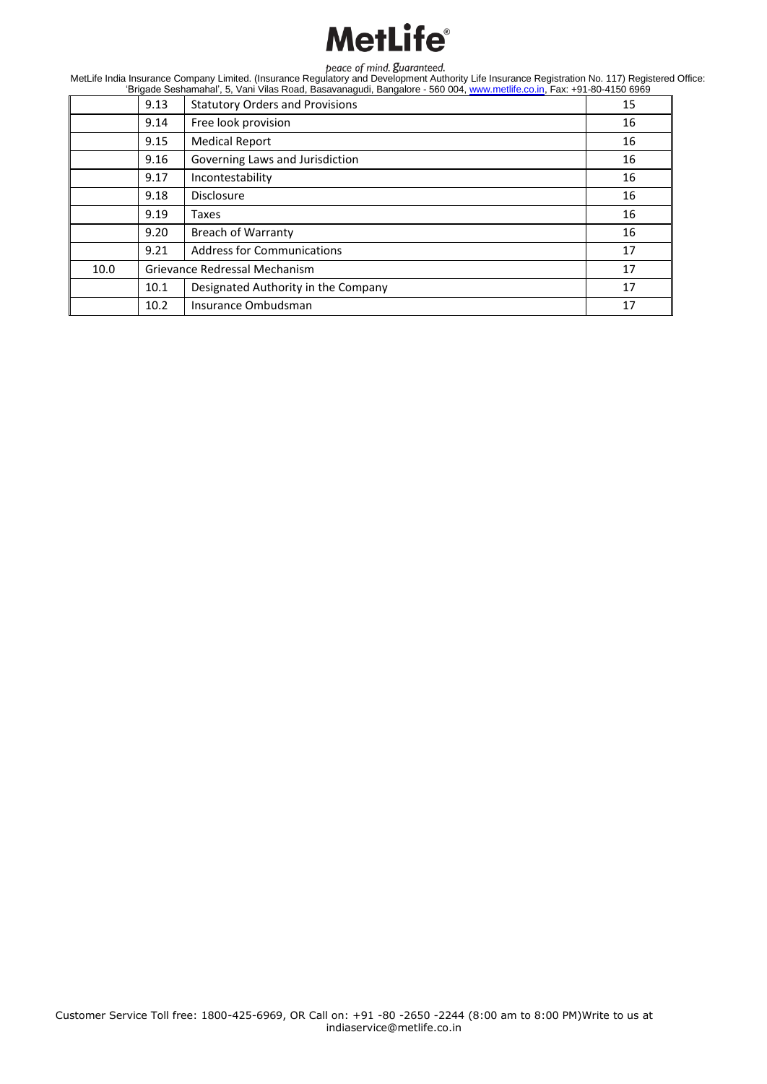|      | 9.13 | <b>Statutory Orders and Provisions</b> | 15 |
|------|------|----------------------------------------|----|
|      | 9.14 | Free look provision                    | 16 |
|      | 9.15 | <b>Medical Report</b>                  | 16 |
|      | 9.16 | Governing Laws and Jurisdiction        | 16 |
|      | 9.17 | Incontestability                       | 16 |
|      | 9.18 | <b>Disclosure</b>                      | 16 |
|      | 9.19 | Taxes                                  | 16 |
|      | 9.20 | <b>Breach of Warranty</b>              | 16 |
|      | 9.21 | <b>Address for Communications</b>      | 17 |
| 10.0 |      | Grievance Redressal Mechanism          | 17 |
|      | 10.1 | Designated Authority in the Company    | 17 |
|      | 10.2 | Insurance Ombudsman                    | 17 |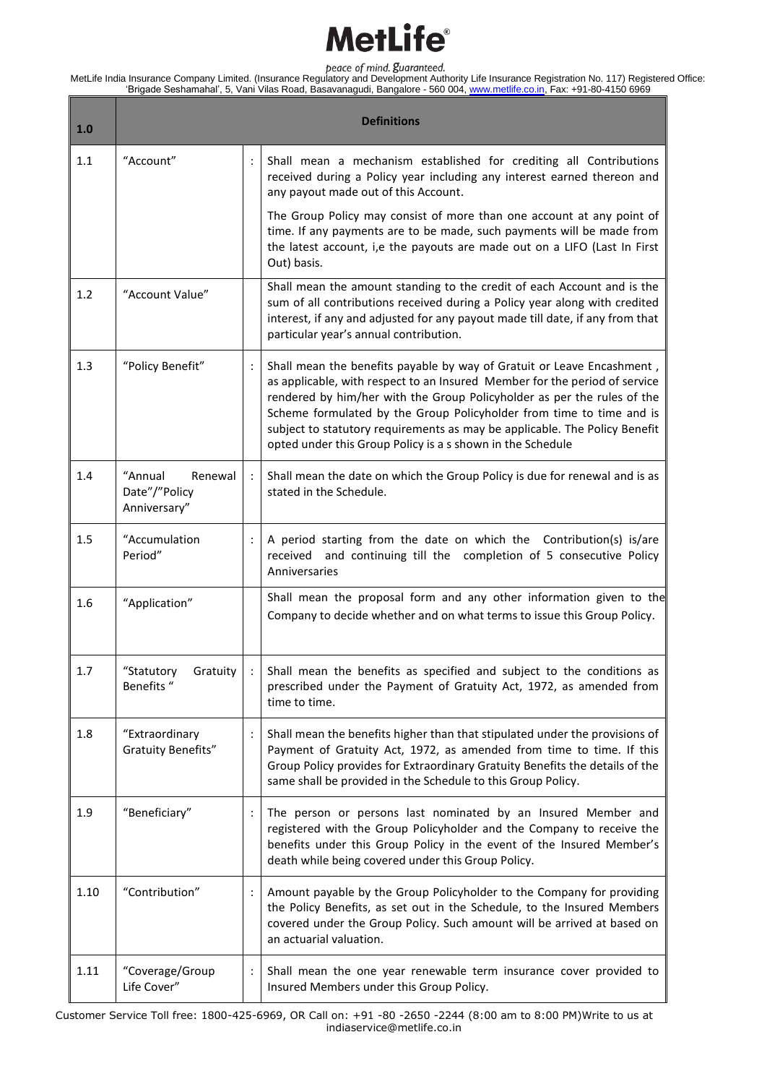| 1.0  | <b>Definitions</b>                                  |                      |                                                                                                                                                                                                                                                                                                                                                                                                                                                     |  |  |
|------|-----------------------------------------------------|----------------------|-----------------------------------------------------------------------------------------------------------------------------------------------------------------------------------------------------------------------------------------------------------------------------------------------------------------------------------------------------------------------------------------------------------------------------------------------------|--|--|
| 1.1  | "Account"                                           |                      | Shall mean a mechanism established for crediting all Contributions<br>received during a Policy year including any interest earned thereon and<br>any payout made out of this Account.                                                                                                                                                                                                                                                               |  |  |
|      |                                                     |                      | The Group Policy may consist of more than one account at any point of<br>time. If any payments are to be made, such payments will be made from<br>the latest account, i,e the payouts are made out on a LIFO (Last In First<br>Out) basis.                                                                                                                                                                                                          |  |  |
| 1.2  | "Account Value"                                     |                      | Shall mean the amount standing to the credit of each Account and is the<br>sum of all contributions received during a Policy year along with credited<br>interest, if any and adjusted for any payout made till date, if any from that<br>particular year's annual contribution.                                                                                                                                                                    |  |  |
| 1.3  | "Policy Benefit"                                    |                      | Shall mean the benefits payable by way of Gratuit or Leave Encashment,<br>as applicable, with respect to an Insured Member for the period of service<br>rendered by him/her with the Group Policyholder as per the rules of the<br>Scheme formulated by the Group Policyholder from time to time and is<br>subject to statutory requirements as may be applicable. The Policy Benefit<br>opted under this Group Policy is a s shown in the Schedule |  |  |
| 1.4  | "Annual<br>Renewal<br>Date"/"Policy<br>Anniversary" |                      | Shall mean the date on which the Group Policy is due for renewal and is as<br>stated in the Schedule.                                                                                                                                                                                                                                                                                                                                               |  |  |
| 1.5  | "Accumulation<br>Period"                            |                      | A period starting from the date on which the Contribution(s) is/are<br>received and continuing till the completion of 5 consecutive Policy<br>Anniversaries                                                                                                                                                                                                                                                                                         |  |  |
| 1.6  | "Application"                                       |                      | Shall mean the proposal form and any other information given to the<br>Company to decide whether and on what terms to issue this Group Policy.                                                                                                                                                                                                                                                                                                      |  |  |
| 1.7  | "Statutory<br>Gratuity<br>Benefits "                |                      | Shall mean the benefits as specified and subject to the conditions as<br>prescribed under the Payment of Gratuity Act, 1972, as amended from<br>time to time.                                                                                                                                                                                                                                                                                       |  |  |
| 1.8  | "Extraordinary<br><b>Gratuity Benefits"</b>         |                      | Shall mean the benefits higher than that stipulated under the provisions of<br>Payment of Gratuity Act, 1972, as amended from time to time. If this<br>Group Policy provides for Extraordinary Gratuity Benefits the details of the<br>same shall be provided in the Schedule to this Group Policy.                                                                                                                                                 |  |  |
| 1.9  | "Beneficiary"                                       | $\ddot{\phantom{a}}$ | The person or persons last nominated by an Insured Member and<br>registered with the Group Policyholder and the Company to receive the<br>benefits under this Group Policy in the event of the Insured Member's<br>death while being covered under this Group Policy.                                                                                                                                                                               |  |  |
| 1.10 | "Contribution"                                      |                      | Amount payable by the Group Policyholder to the Company for providing<br>the Policy Benefits, as set out in the Schedule, to the Insured Members<br>covered under the Group Policy. Such amount will be arrived at based on<br>an actuarial valuation.                                                                                                                                                                                              |  |  |
| 1.11 | "Coverage/Group<br>Life Cover"                      | $\ddot{\cdot}$       | Shall mean the one year renewable term insurance cover provided to<br>Insured Members under this Group Policy.                                                                                                                                                                                                                                                                                                                                      |  |  |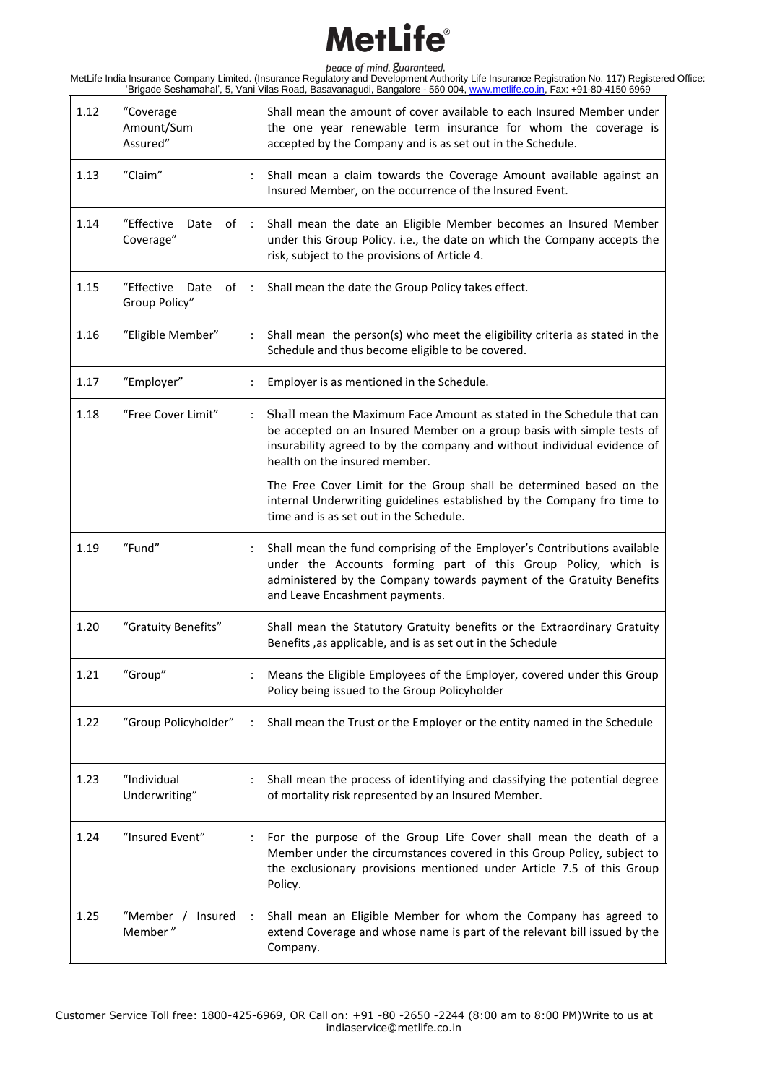| 1.12 | "Coverage<br>Amount/Sum<br>Assured"       |                             | Shall mean the amount of cover available to each Insured Member under<br>the one year renewable term insurance for whom the coverage is<br>accepted by the Company and is as set out in the Schedule.                                                        |
|------|-------------------------------------------|-----------------------------|--------------------------------------------------------------------------------------------------------------------------------------------------------------------------------------------------------------------------------------------------------------|
| 1.13 | "Claim"                                   |                             | Shall mean a claim towards the Coverage Amount available against an<br>Insured Member, on the occurrence of the Insured Event.                                                                                                                               |
| 1.14 | "Effective<br>Date<br>of<br>Coverage"     |                             | Shall mean the date an Eligible Member becomes an Insured Member<br>under this Group Policy. i.e., the date on which the Company accepts the<br>risk, subject to the provisions of Article 4.                                                                |
| 1.15 | "Effective<br>Date<br>of<br>Group Policy" | $\mathcal{L}^{\mathcal{L}}$ | Shall mean the date the Group Policy takes effect.                                                                                                                                                                                                           |
| 1.16 | "Eligible Member"                         | $\ddot{\phantom{a}}$        | Shall mean the person(s) who meet the eligibility criteria as stated in the<br>Schedule and thus become eligible to be covered.                                                                                                                              |
| 1.17 | "Employer"                                |                             | Employer is as mentioned in the Schedule.                                                                                                                                                                                                                    |
| 1.18 | "Free Cover Limit"                        |                             | Shall mean the Maximum Face Amount as stated in the Schedule that can<br>be accepted on an Insured Member on a group basis with simple tests of<br>insurability agreed to by the company and without individual evidence of<br>health on the insured member. |
|      |                                           |                             | The Free Cover Limit for the Group shall be determined based on the<br>internal Underwriting guidelines established by the Company fro time to<br>time and is as set out in the Schedule.                                                                    |
| 1.19 | "Fund"                                    |                             | Shall mean the fund comprising of the Employer's Contributions available<br>under the Accounts forming part of this Group Policy, which is<br>administered by the Company towards payment of the Gratuity Benefits<br>and Leave Encashment payments.         |
| 1.20 | "Gratuity Benefits"                       |                             | Shall mean the Statutory Gratuity benefits or the Extraordinary Gratuity<br>Benefits, as applicable, and is as set out in the Schedule                                                                                                                       |
| 1.21 | "Group"                                   |                             | Means the Eligible Employees of the Employer, covered under this Group<br>Policy being issued to the Group Policyholder                                                                                                                                      |
| 1.22 | "Group Policyholder"                      |                             | Shall mean the Trust or the Employer or the entity named in the Schedule                                                                                                                                                                                     |
| 1.23 | "Individual<br>Underwriting"              |                             | Shall mean the process of identifying and classifying the potential degree<br>of mortality risk represented by an Insured Member.                                                                                                                            |
| 1.24 | "Insured Event"                           |                             | For the purpose of the Group Life Cover shall mean the death of a<br>Member under the circumstances covered in this Group Policy, subject to<br>the exclusionary provisions mentioned under Article 7.5 of this Group<br>Policy.                             |
| 1.25 | "Member / Insured<br>Member"              |                             | Shall mean an Eligible Member for whom the Company has agreed to<br>extend Coverage and whose name is part of the relevant bill issued by the<br>Company.                                                                                                    |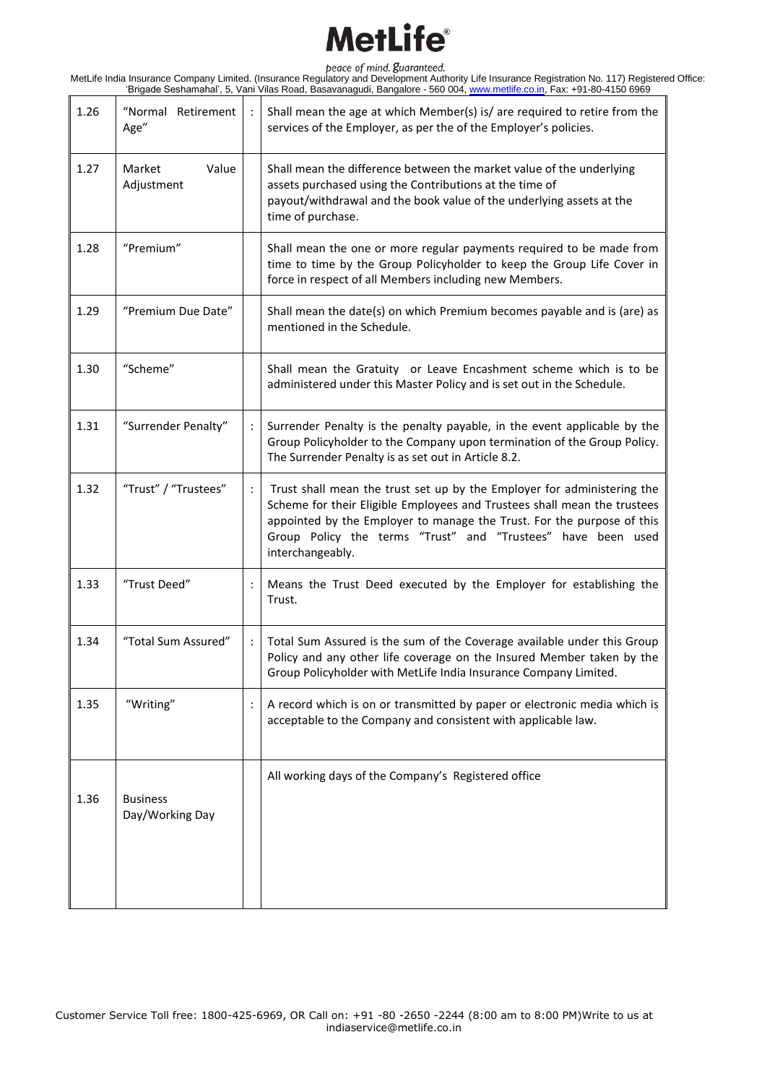| 1.26 | "Normal Retirement<br>Age"         |                      | Shall mean the age at which Member(s) is/ are required to retire from the<br>services of the Employer, as per the of the Employer's policies.                                                                                                                                                                     |
|------|------------------------------------|----------------------|-------------------------------------------------------------------------------------------------------------------------------------------------------------------------------------------------------------------------------------------------------------------------------------------------------------------|
| 1.27 | Value<br>Market<br>Adjustment      |                      | Shall mean the difference between the market value of the underlying<br>assets purchased using the Contributions at the time of<br>payout/withdrawal and the book value of the underlying assets at the<br>time of purchase.                                                                                      |
| 1.28 | "Premium"                          |                      | Shall mean the one or more regular payments required to be made from<br>time to time by the Group Policyholder to keep the Group Life Cover in<br>force in respect of all Members including new Members.                                                                                                          |
| 1.29 | "Premium Due Date"                 |                      | Shall mean the date(s) on which Premium becomes payable and is (are) as<br>mentioned in the Schedule.                                                                                                                                                                                                             |
| 1.30 | "Scheme"                           |                      | Shall mean the Gratuity or Leave Encashment scheme which is to be<br>administered under this Master Policy and is set out in the Schedule.                                                                                                                                                                        |
| 1.31 | "Surrender Penalty"                |                      | Surrender Penalty is the penalty payable, in the event applicable by the<br>Group Policyholder to the Company upon termination of the Group Policy.<br>The Surrender Penalty is as set out in Article 8.2.                                                                                                        |
| 1.32 | "Trust" / "Trustees"               | $\ddot{\phantom{a}}$ | Trust shall mean the trust set up by the Employer for administering the<br>Scheme for their Eligible Employees and Trustees shall mean the trustees<br>appointed by the Employer to manage the Trust. For the purpose of this<br>Group Policy the terms "Trust" and "Trustees" have been used<br>interchangeably. |
| 1.33 | "Trust Deed"                       | $\ddot{\cdot}$       | Means the Trust Deed executed by the Employer for establishing the<br>Trust.                                                                                                                                                                                                                                      |
| 1.34 | "Total Sum Assured"                | $\ddot{\cdot}$       | Total Sum Assured is the sum of the Coverage available under this Group<br>Policy and any other life coverage on the Insured Member taken by the<br>Group Policyholder with MetLife India Insurance Company Limited.                                                                                              |
| 1.35 | "Writing"                          | $\cdot$              | A record which is on or transmitted by paper or electronic media which is<br>acceptable to the Company and consistent with applicable law.                                                                                                                                                                        |
| 1.36 | <b>Business</b><br>Day/Working Day |                      | All working days of the Company's Registered office                                                                                                                                                                                                                                                               |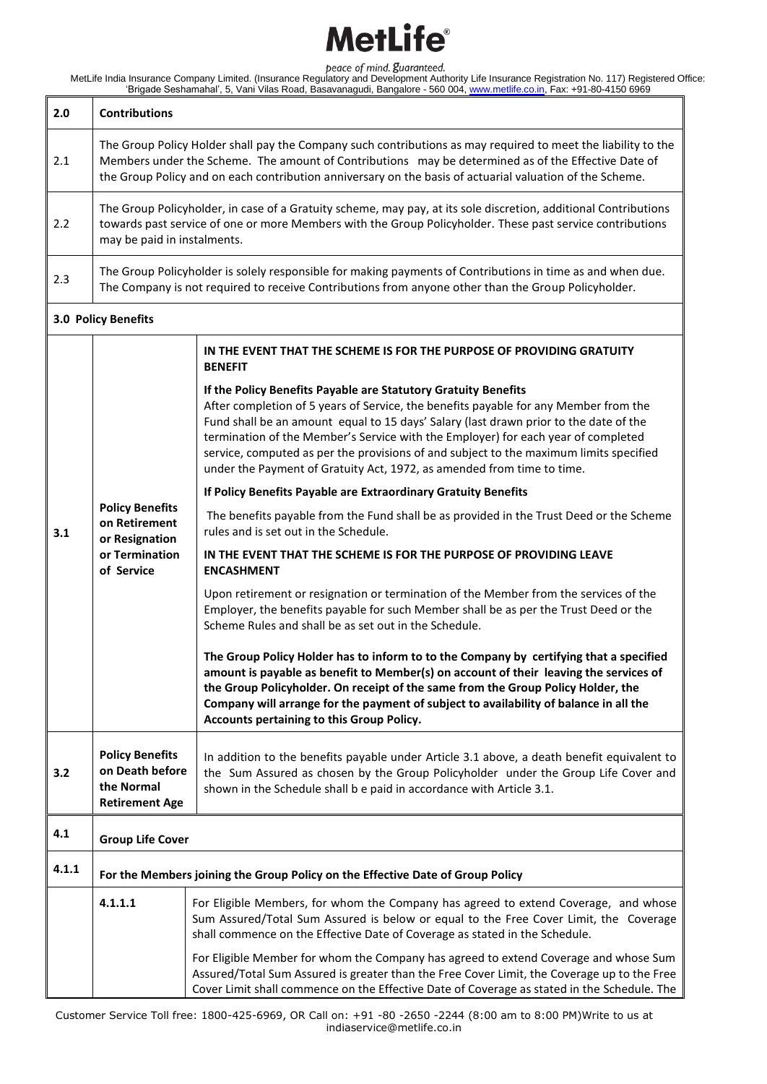| 2.0   | <b>Contributions</b>                                                                                                                                                                                                                                                                                                             |                                                                                                                                                                                                                                                                                                                                                                                                                                                                                                          |  |  |
|-------|----------------------------------------------------------------------------------------------------------------------------------------------------------------------------------------------------------------------------------------------------------------------------------------------------------------------------------|----------------------------------------------------------------------------------------------------------------------------------------------------------------------------------------------------------------------------------------------------------------------------------------------------------------------------------------------------------------------------------------------------------------------------------------------------------------------------------------------------------|--|--|
| 2.1   | The Group Policy Holder shall pay the Company such contributions as may required to meet the liability to the<br>Members under the Scheme. The amount of Contributions may be determined as of the Effective Date of<br>the Group Policy and on each contribution anniversary on the basis of actuarial valuation of the Scheme. |                                                                                                                                                                                                                                                                                                                                                                                                                                                                                                          |  |  |
| 2.2   | may be paid in instalments.                                                                                                                                                                                                                                                                                                      | The Group Policyholder, in case of a Gratuity scheme, may pay, at its sole discretion, additional Contributions<br>towards past service of one or more Members with the Group Policyholder. These past service contributions                                                                                                                                                                                                                                                                             |  |  |
| 2.3   |                                                                                                                                                                                                                                                                                                                                  | The Group Policyholder is solely responsible for making payments of Contributions in time as and when due.<br>The Company is not required to receive Contributions from anyone other than the Group Policyholder.                                                                                                                                                                                                                                                                                        |  |  |
|       | 3.0 Policy Benefits                                                                                                                                                                                                                                                                                                              |                                                                                                                                                                                                                                                                                                                                                                                                                                                                                                          |  |  |
|       |                                                                                                                                                                                                                                                                                                                                  | IN THE EVENT THAT THE SCHEME IS FOR THE PURPOSE OF PROVIDING GRATUITY<br><b>BENEFIT</b>                                                                                                                                                                                                                                                                                                                                                                                                                  |  |  |
|       |                                                                                                                                                                                                                                                                                                                                  | If the Policy Benefits Payable are Statutory Gratuity Benefits<br>After completion of 5 years of Service, the benefits payable for any Member from the<br>Fund shall be an amount equal to 15 days' Salary (last drawn prior to the date of the<br>termination of the Member's Service with the Employer) for each year of completed<br>service, computed as per the provisions of and subject to the maximum limits specified<br>under the Payment of Gratuity Act, 1972, as amended from time to time. |  |  |
|       |                                                                                                                                                                                                                                                                                                                                  | If Policy Benefits Payable are Extraordinary Gratuity Benefits                                                                                                                                                                                                                                                                                                                                                                                                                                           |  |  |
| 3.1   | <b>Policy Benefits</b><br>on Retirement<br>or Resignation<br>or Termination<br>of Service                                                                                                                                                                                                                                        | The benefits payable from the Fund shall be as provided in the Trust Deed or the Scheme<br>rules and is set out in the Schedule.                                                                                                                                                                                                                                                                                                                                                                         |  |  |
|       |                                                                                                                                                                                                                                                                                                                                  | IN THE EVENT THAT THE SCHEME IS FOR THE PURPOSE OF PROVIDING LEAVE<br><b>ENCASHMENT</b>                                                                                                                                                                                                                                                                                                                                                                                                                  |  |  |
|       |                                                                                                                                                                                                                                                                                                                                  | Upon retirement or resignation or termination of the Member from the services of the<br>Employer, the benefits payable for such Member shall be as per the Trust Deed or the<br>Scheme Rules and shall be as set out in the Schedule.                                                                                                                                                                                                                                                                    |  |  |
|       |                                                                                                                                                                                                                                                                                                                                  | The Group Policy Holder has to inform to to the Company by certifying that a specified<br>amount is payable as benefit to Member(s) on account of their leaving the services of<br>the Group Policyholder. On receipt of the same from the Group Policy Holder, the<br>Company will arrange for the payment of subject to availability of balance in all the<br>Accounts pertaining to this Group Policy.                                                                                                |  |  |
| 3.2   | <b>Policy Benefits</b><br>on Death before<br>the Normal<br><b>Retirement Age</b>                                                                                                                                                                                                                                                 | In addition to the benefits payable under Article 3.1 above, a death benefit equivalent to<br>the Sum Assured as chosen by the Group Policyholder under the Group Life Cover and<br>shown in the Schedule shall b e paid in accordance with Article 3.1.                                                                                                                                                                                                                                                 |  |  |
| 4.1   | <b>Group Life Cover</b>                                                                                                                                                                                                                                                                                                          |                                                                                                                                                                                                                                                                                                                                                                                                                                                                                                          |  |  |
| 4.1.1 | For the Members joining the Group Policy on the Effective Date of Group Policy                                                                                                                                                                                                                                                   |                                                                                                                                                                                                                                                                                                                                                                                                                                                                                                          |  |  |
|       | 4.1.1.1                                                                                                                                                                                                                                                                                                                          | For Eligible Members, for whom the Company has agreed to extend Coverage, and whose<br>Sum Assured/Total Sum Assured is below or equal to the Free Cover Limit, the Coverage<br>shall commence on the Effective Date of Coverage as stated in the Schedule.                                                                                                                                                                                                                                              |  |  |
|       |                                                                                                                                                                                                                                                                                                                                  | For Eligible Member for whom the Company has agreed to extend Coverage and whose Sum<br>Assured/Total Sum Assured is greater than the Free Cover Limit, the Coverage up to the Free<br>Cover Limit shall commence on the Effective Date of Coverage as stated in the Schedule. The                                                                                                                                                                                                                       |  |  |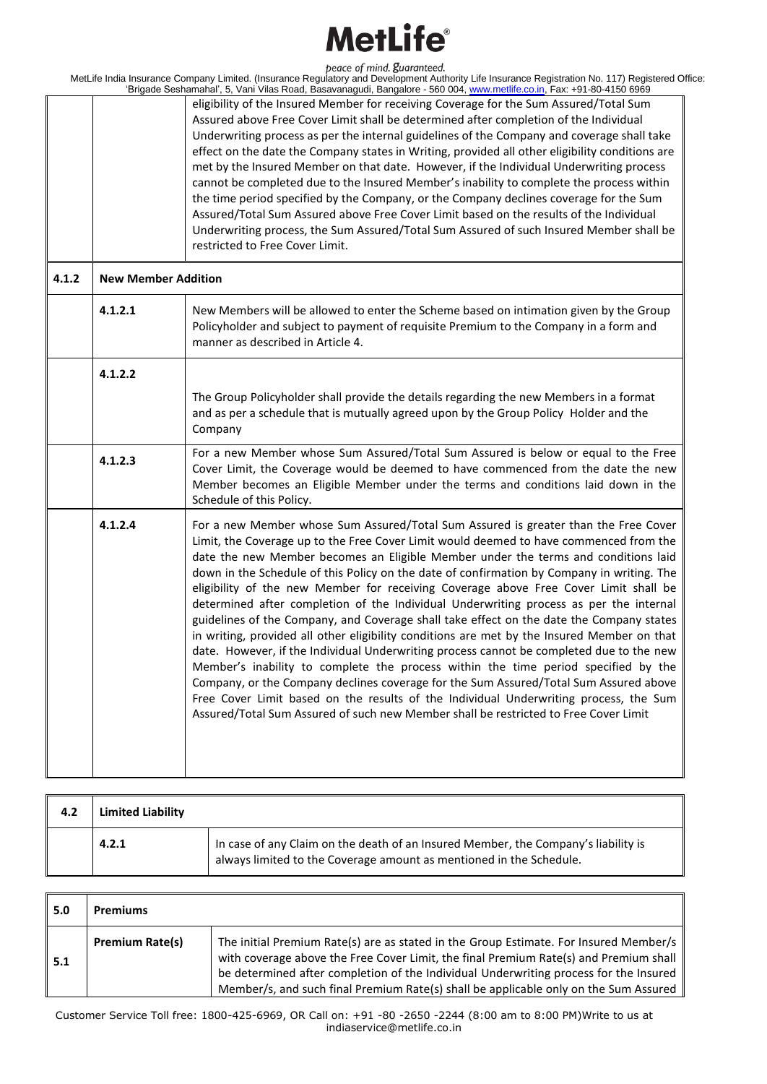|         | peace of mind. guaranteed.<br>MetLife India Insurance Company Limited. (Insurance Regulatory and Development Authority Life Insurance Registration No. 117) Registered Office:<br>'Brigade Seshamahal', 5, Vani Vilas Road, Basavanagudi, Bangalore - 560 004, www.metlife.co.in, Fax: +91-80-4150 6969                                                                                                                                                                                                                                                                                                                                                                                                                                                                                                                                                                                                                                                                                                                                                                                                                                                                                                    |
|---------|------------------------------------------------------------------------------------------------------------------------------------------------------------------------------------------------------------------------------------------------------------------------------------------------------------------------------------------------------------------------------------------------------------------------------------------------------------------------------------------------------------------------------------------------------------------------------------------------------------------------------------------------------------------------------------------------------------------------------------------------------------------------------------------------------------------------------------------------------------------------------------------------------------------------------------------------------------------------------------------------------------------------------------------------------------------------------------------------------------------------------------------------------------------------------------------------------------|
|         | eligibility of the Insured Member for receiving Coverage for the Sum Assured/Total Sum                                                                                                                                                                                                                                                                                                                                                                                                                                                                                                                                                                                                                                                                                                                                                                                                                                                                                                                                                                                                                                                                                                                     |
|         | Assured above Free Cover Limit shall be determined after completion of the Individual                                                                                                                                                                                                                                                                                                                                                                                                                                                                                                                                                                                                                                                                                                                                                                                                                                                                                                                                                                                                                                                                                                                      |
|         | Underwriting process as per the internal guidelines of the Company and coverage shall take                                                                                                                                                                                                                                                                                                                                                                                                                                                                                                                                                                                                                                                                                                                                                                                                                                                                                                                                                                                                                                                                                                                 |
|         |                                                                                                                                                                                                                                                                                                                                                                                                                                                                                                                                                                                                                                                                                                                                                                                                                                                                                                                                                                                                                                                                                                                                                                                                            |
|         | effect on the date the Company states in Writing, provided all other eligibility conditions are                                                                                                                                                                                                                                                                                                                                                                                                                                                                                                                                                                                                                                                                                                                                                                                                                                                                                                                                                                                                                                                                                                            |
|         | met by the Insured Member on that date. However, if the Individual Underwriting process                                                                                                                                                                                                                                                                                                                                                                                                                                                                                                                                                                                                                                                                                                                                                                                                                                                                                                                                                                                                                                                                                                                    |
|         | cannot be completed due to the Insured Member's inability to complete the process within                                                                                                                                                                                                                                                                                                                                                                                                                                                                                                                                                                                                                                                                                                                                                                                                                                                                                                                                                                                                                                                                                                                   |
|         | the time period specified by the Company, or the Company declines coverage for the Sum                                                                                                                                                                                                                                                                                                                                                                                                                                                                                                                                                                                                                                                                                                                                                                                                                                                                                                                                                                                                                                                                                                                     |
|         | Assured/Total Sum Assured above Free Cover Limit based on the results of the Individual                                                                                                                                                                                                                                                                                                                                                                                                                                                                                                                                                                                                                                                                                                                                                                                                                                                                                                                                                                                                                                                                                                                    |
|         | Underwriting process, the Sum Assured/Total Sum Assured of such Insured Member shall be                                                                                                                                                                                                                                                                                                                                                                                                                                                                                                                                                                                                                                                                                                                                                                                                                                                                                                                                                                                                                                                                                                                    |
|         | restricted to Free Cover Limit.                                                                                                                                                                                                                                                                                                                                                                                                                                                                                                                                                                                                                                                                                                                                                                                                                                                                                                                                                                                                                                                                                                                                                                            |
|         |                                                                                                                                                                                                                                                                                                                                                                                                                                                                                                                                                                                                                                                                                                                                                                                                                                                                                                                                                                                                                                                                                                                                                                                                            |
| 4.1.2.1 | New Members will be allowed to enter the Scheme based on intimation given by the Group<br>Policyholder and subject to payment of requisite Premium to the Company in a form and<br>manner as described in Article 4.                                                                                                                                                                                                                                                                                                                                                                                                                                                                                                                                                                                                                                                                                                                                                                                                                                                                                                                                                                                       |
| 4.1.2.2 |                                                                                                                                                                                                                                                                                                                                                                                                                                                                                                                                                                                                                                                                                                                                                                                                                                                                                                                                                                                                                                                                                                                                                                                                            |
|         | The Group Policyholder shall provide the details regarding the new Members in a format<br>and as per a schedule that is mutually agreed upon by the Group Policy Holder and the<br>Company                                                                                                                                                                                                                                                                                                                                                                                                                                                                                                                                                                                                                                                                                                                                                                                                                                                                                                                                                                                                                 |
| 4.1.2.3 | For a new Member whose Sum Assured/Total Sum Assured is below or equal to the Free<br>Cover Limit, the Coverage would be deemed to have commenced from the date the new<br>Member becomes an Eligible Member under the terms and conditions laid down in the<br>Schedule of this Policy.                                                                                                                                                                                                                                                                                                                                                                                                                                                                                                                                                                                                                                                                                                                                                                                                                                                                                                                   |
| 4.1.2.4 | For a new Member whose Sum Assured/Total Sum Assured is greater than the Free Cover<br>Limit, the Coverage up to the Free Cover Limit would deemed to have commenced from the<br>date the new Member becomes an Eligible Member under the terms and conditions laid<br>down in the Schedule of this Policy on the date of confirmation by Company in writing. The<br>eligibility of the new Member for receiving Coverage above Free Cover Limit shall be<br>determined after completion of the Individual Underwriting process as per the internal<br>guidelines of the Company, and Coverage shall take effect on the date the Company states<br>in writing, provided all other eligibility conditions are met by the Insured Member on that<br>date. However, if the Individual Underwriting process cannot be completed due to the new<br>Member's inability to complete the process within the time period specified by the<br>Company, or the Company declines coverage for the Sum Assured/Total Sum Assured above<br>Free Cover Limit based on the results of the Individual Underwriting process, the Sum<br>Assured/Total Sum Assured of such new Member shall be restricted to Free Cover Limit |
|         | <b>New Member Addition</b>                                                                                                                                                                                                                                                                                                                                                                                                                                                                                                                                                                                                                                                                                                                                                                                                                                                                                                                                                                                                                                                                                                                                                                                 |

| 4.2 | <b>Limited Liability</b> |                                                                                                                                                           |
|-----|--------------------------|-----------------------------------------------------------------------------------------------------------------------------------------------------------|
|     | 4.2.1                    | In case of any Claim on the death of an Insured Member, the Company's liability is<br>always limited to the Coverage amount as mentioned in the Schedule. |

| 5.0 | <b>Premiums</b>        |                                                                                                                                                                                                                                                                                                                                                                 |
|-----|------------------------|-----------------------------------------------------------------------------------------------------------------------------------------------------------------------------------------------------------------------------------------------------------------------------------------------------------------------------------------------------------------|
| 5.1 | <b>Premium Rate(s)</b> | The initial Premium Rate(s) are as stated in the Group Estimate. For Insured Member/s<br>with coverage above the Free Cover Limit, the final Premium Rate(s) and Premium shall<br>be determined after completion of the Individual Underwriting process for the Insured<br>Member/s, and such final Premium Rate(s) shall be applicable only on the Sum Assured |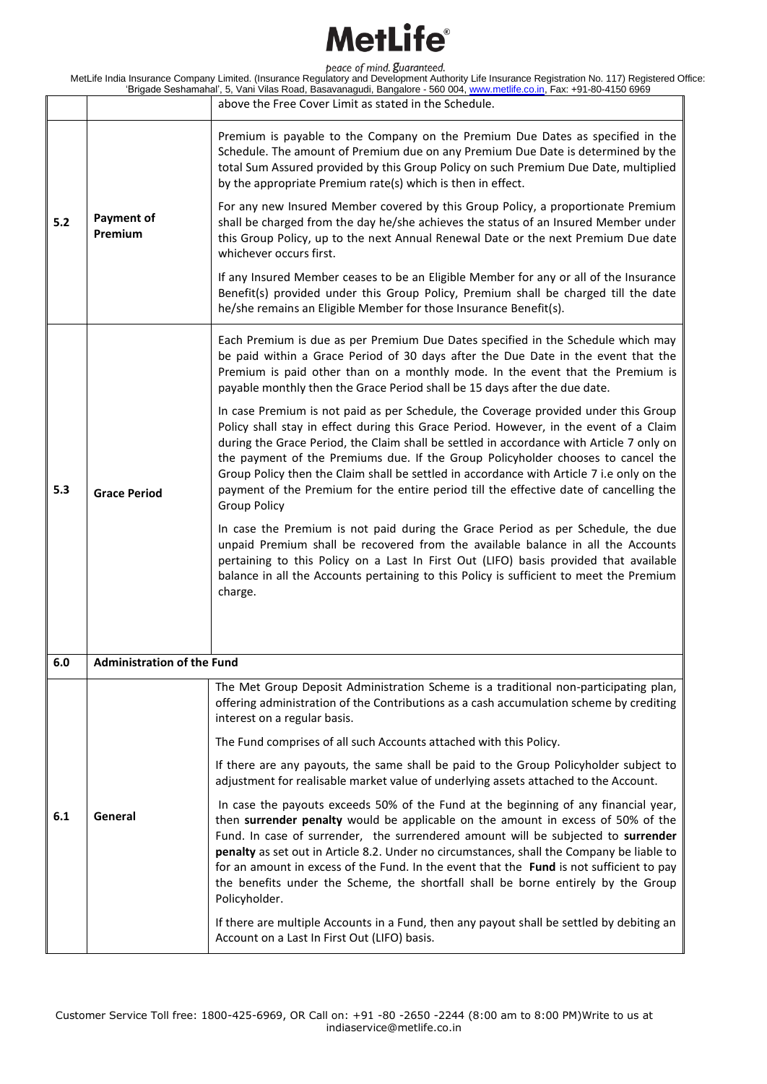|     |                                   | above the Free Cover Limit as stated in the Schedule.                                                                                                                                                                                                                                                                                                                                                                                                                                                                                                                                                                                                                                                                                                                                                                                                                      |
|-----|-----------------------------------|----------------------------------------------------------------------------------------------------------------------------------------------------------------------------------------------------------------------------------------------------------------------------------------------------------------------------------------------------------------------------------------------------------------------------------------------------------------------------------------------------------------------------------------------------------------------------------------------------------------------------------------------------------------------------------------------------------------------------------------------------------------------------------------------------------------------------------------------------------------------------|
| 5.2 | <b>Payment of</b><br>Premium      | Premium is payable to the Company on the Premium Due Dates as specified in the<br>Schedule. The amount of Premium due on any Premium Due Date is determined by the<br>total Sum Assured provided by this Group Policy on such Premium Due Date, multiplied<br>by the appropriate Premium rate(s) which is then in effect.<br>For any new Insured Member covered by this Group Policy, a proportionate Premium<br>shall be charged from the day he/she achieves the status of an Insured Member under<br>this Group Policy, up to the next Annual Renewal Date or the next Premium Due date<br>whichever occurs first.<br>If any Insured Member ceases to be an Eligible Member for any or all of the Insurance<br>Benefit(s) provided under this Group Policy, Premium shall be charged till the date<br>he/she remains an Eligible Member for those Insurance Benefit(s). |
|     |                                   | Each Premium is due as per Premium Due Dates specified in the Schedule which may<br>be paid within a Grace Period of 30 days after the Due Date in the event that the<br>Premium is paid other than on a monthly mode. In the event that the Premium is<br>payable monthly then the Grace Period shall be 15 days after the due date.                                                                                                                                                                                                                                                                                                                                                                                                                                                                                                                                      |
| 5.3 | <b>Grace Period</b>               | In case Premium is not paid as per Schedule, the Coverage provided under this Group<br>Policy shall stay in effect during this Grace Period. However, in the event of a Claim<br>during the Grace Period, the Claim shall be settled in accordance with Article 7 only on<br>the payment of the Premiums due. If the Group Policyholder chooses to cancel the<br>Group Policy then the Claim shall be settled in accordance with Article 7 i.e only on the<br>payment of the Premium for the entire period till the effective date of cancelling the<br><b>Group Policy</b>                                                                                                                                                                                                                                                                                                |
|     |                                   | In case the Premium is not paid during the Grace Period as per Schedule, the due<br>unpaid Premium shall be recovered from the available balance in all the Accounts<br>pertaining to this Policy on a Last In First Out (LIFO) basis provided that available<br>balance in all the Accounts pertaining to this Policy is sufficient to meet the Premium<br>charge.                                                                                                                                                                                                                                                                                                                                                                                                                                                                                                        |
| 6.0 | <b>Administration of the Fund</b> |                                                                                                                                                                                                                                                                                                                                                                                                                                                                                                                                                                                                                                                                                                                                                                                                                                                                            |
|     |                                   | The Met Group Deposit Administration Scheme is a traditional non-participating plan,<br>offering administration of the Contributions as a cash accumulation scheme by crediting<br>interest on a regular basis.                                                                                                                                                                                                                                                                                                                                                                                                                                                                                                                                                                                                                                                            |
|     |                                   | The Fund comprises of all such Accounts attached with this Policy.                                                                                                                                                                                                                                                                                                                                                                                                                                                                                                                                                                                                                                                                                                                                                                                                         |
|     |                                   | If there are any payouts, the same shall be paid to the Group Policyholder subject to<br>adjustment for realisable market value of underlying assets attached to the Account.                                                                                                                                                                                                                                                                                                                                                                                                                                                                                                                                                                                                                                                                                              |
| 6.1 | General                           | In case the payouts exceeds 50% of the Fund at the beginning of any financial year,<br>then surrender penalty would be applicable on the amount in excess of 50% of the<br>Fund. In case of surrender, the surrendered amount will be subjected to surrender<br>penalty as set out in Article 8.2. Under no circumstances, shall the Company be liable to<br>for an amount in excess of the Fund. In the event that the Fund is not sufficient to pay<br>the benefits under the Scheme, the shortfall shall be borne entirely by the Group<br>Policyholder.                                                                                                                                                                                                                                                                                                                |
|     |                                   | If there are multiple Accounts in a Fund, then any payout shall be settled by debiting an<br>Account on a Last In First Out (LIFO) basis.                                                                                                                                                                                                                                                                                                                                                                                                                                                                                                                                                                                                                                                                                                                                  |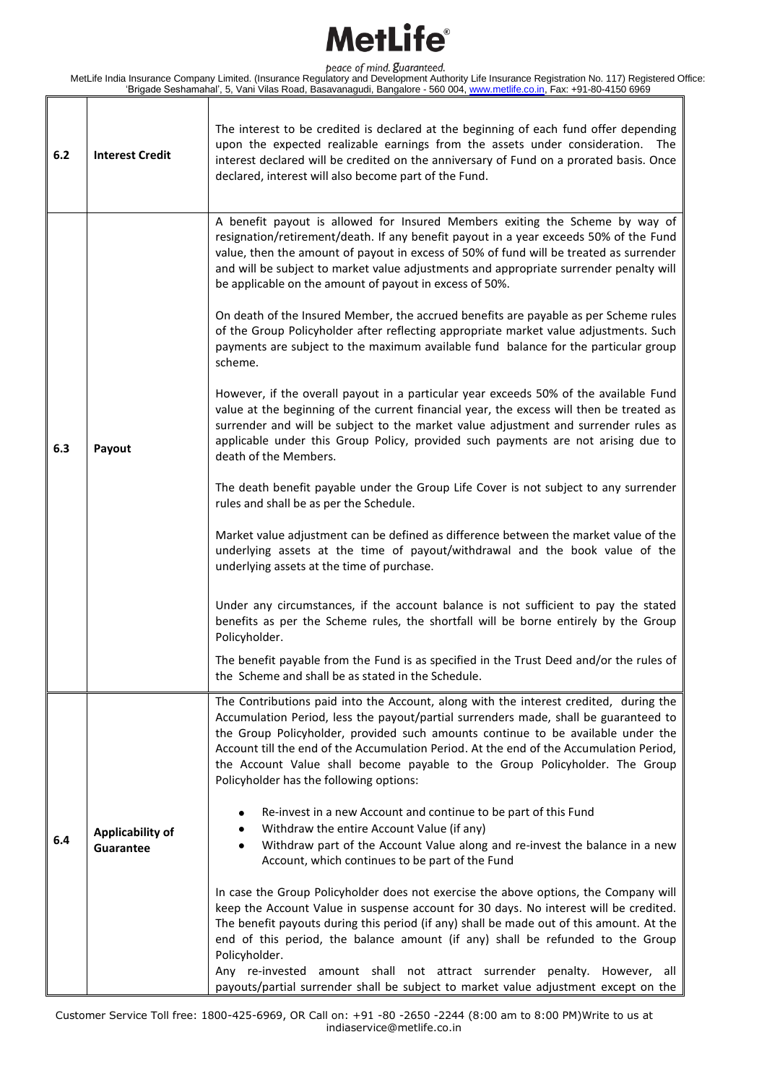MetLife India Insurance Company Limited. (Insurance Regulatory and Development Authority Life Insurance Registration No. 117) Registered Office: 'Brigade Seshamahal', 5, Vani Vilas Road, Basavanagudi, Bangalore - 560 004, www.metlife.co.in, Fax: +91-80-4150 6969

Τ

Τ

| 6.2 | <b>Interest Credit</b>        | The interest to be credited is declared at the beginning of each fund offer depending<br>upon the expected realizable earnings from the assets under consideration. The<br>interest declared will be credited on the anniversary of Fund on a prorated basis. Once<br>declared, interest will also become part of the Fund.                                                                                                                                                                                                                                                                                                                                                                                                                                                                                                                                                                                                                                                                                                                                                                                                                                                                                                                                                                                                                                                                                                                                                                                                                                                                                                                                                                                                                                                                                |
|-----|-------------------------------|------------------------------------------------------------------------------------------------------------------------------------------------------------------------------------------------------------------------------------------------------------------------------------------------------------------------------------------------------------------------------------------------------------------------------------------------------------------------------------------------------------------------------------------------------------------------------------------------------------------------------------------------------------------------------------------------------------------------------------------------------------------------------------------------------------------------------------------------------------------------------------------------------------------------------------------------------------------------------------------------------------------------------------------------------------------------------------------------------------------------------------------------------------------------------------------------------------------------------------------------------------------------------------------------------------------------------------------------------------------------------------------------------------------------------------------------------------------------------------------------------------------------------------------------------------------------------------------------------------------------------------------------------------------------------------------------------------------------------------------------------------------------------------------------------------|
| 6.3 | Payout                        | A benefit payout is allowed for Insured Members exiting the Scheme by way of<br>resignation/retirement/death. If any benefit payout in a year exceeds 50% of the Fund<br>value, then the amount of payout in excess of 50% of fund will be treated as surrender<br>and will be subject to market value adjustments and appropriate surrender penalty will<br>be applicable on the amount of payout in excess of 50%.<br>On death of the Insured Member, the accrued benefits are payable as per Scheme rules<br>of the Group Policyholder after reflecting appropriate market value adjustments. Such<br>payments are subject to the maximum available fund balance for the particular group<br>scheme.<br>However, if the overall payout in a particular year exceeds 50% of the available Fund<br>value at the beginning of the current financial year, the excess will then be treated as<br>surrender and will be subject to the market value adjustment and surrender rules as<br>applicable under this Group Policy, provided such payments are not arising due to<br>death of the Members.<br>The death benefit payable under the Group Life Cover is not subject to any surrender<br>rules and shall be as per the Schedule.<br>Market value adjustment can be defined as difference between the market value of the<br>underlying assets at the time of payout/withdrawal and the book value of the<br>underlying assets at the time of purchase.<br>Under any circumstances, if the account balance is not sufficient to pay the stated<br>benefits as per the Scheme rules, the shortfall will be borne entirely by the Group<br>Policyholder.<br>The benefit payable from the Fund is as specified in the Trust Deed and/or the rules of<br>the Scheme and shall be as stated in the Schedule. |
| 6.4 | Applicability of<br>Guarantee | The Contributions paid into the Account, along with the interest credited, during the<br>Accumulation Period, less the payout/partial surrenders made, shall be guaranteed to<br>the Group Policyholder, provided such amounts continue to be available under the<br>Account till the end of the Accumulation Period. At the end of the Accumulation Period,<br>the Account Value shall become payable to the Group Policyholder. The Group<br>Policyholder has the following options:<br>Re-invest in a new Account and continue to be part of this Fund<br>٠<br>Withdraw the entire Account Value (if any)<br>Withdraw part of the Account Value along and re-invest the balance in a new<br>٠<br>Account, which continues to be part of the Fund<br>In case the Group Policyholder does not exercise the above options, the Company will<br>keep the Account Value in suspense account for 30 days. No interest will be credited.<br>The benefit payouts during this period (if any) shall be made out of this amount. At the<br>end of this period, the balance amount (if any) shall be refunded to the Group<br>Policyholder.<br>Any re-invested amount shall not attract surrender penalty. However, all<br>payouts/partial surrender shall be subject to market value adjustment except on the                                                                                                                                                                                                                                                                                                                                                                                                                                                                                                     |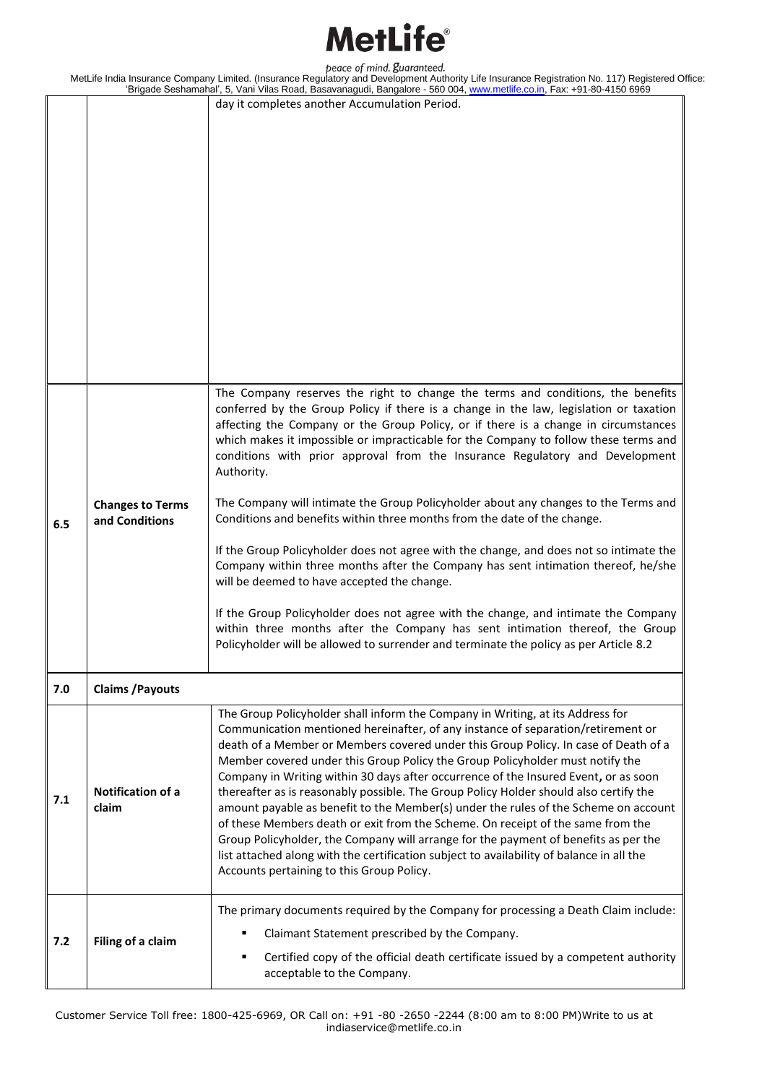#### latl ifa®

peace of mind. guaranteed.

MetLife India Insurance Company Limited. (Insurance Regulatory and Development Authority Life Insurance Registration No. 117) Registered Office: 'Brigade Seshamahal', 5, Vani Vilas Road, Basavanagudi, Bangalore - 560 004, www.metlife.co.in, Fax: +91-80-4150 6969 day it completes another Accumulation Period. **6.5 Changes to Terms and Conditions** The Company reserves the right to change the terms and conditions, the benefits conferred by the Group Policy if there is a change in the law, legislation or taxation affecting the Company or the Group Policy, or if there is a change in circumstances which makes it impossible or impracticable for the Company to follow these terms and conditions with prior approval from the Insurance Regulatory and Development Authority. The Company will intimate the Group Policyholder about any changes to the Terms and Conditions and benefits within three months from the date of the change. If the Group Policyholder does not agree with the change, and does not so intimate the Company within three months after the Company has sent intimation thereof, he/she will be deemed to have accepted the change. If the Group Policyholder does not agree with the change, and intimate the Company within three months after the Company has sent intimation thereof, the Group Policyholder will be allowed to surrender and terminate the policy as per Article 8.2 **7.0 Claims /Payouts 7.1 Notification of a claim**  The Group Policyholder shall inform the Company in Writing, at its Address for Communication mentioned hereinafter, of any instance of separation/retirement or death of a Member or Members covered under this Group Policy. In case of Death of a Member covered under this Group Policy the Group Policyholder must notify the Company in Writing within 30 days after occurrence of the Insured Event**,** or as soon thereafter as is reasonably possible. The Group Policy Holder should also certify the amount payable as benefit to the Member(s) under the rules of the Scheme on account of these Members death or exit from the Scheme. On receipt of the same from the Group Policyholder, the Company will arrange for the payment of benefits as per the list attached along with the certification subject to availability of balance in all the Accounts pertaining to this Group Policy. **7.2 Filing of a claim** The primary documents required by the Company for processing a Death Claim include: Claimant Statement prescribed by the Company. Certified copy of the official death certificate issued by a competent authority acceptable to the Company.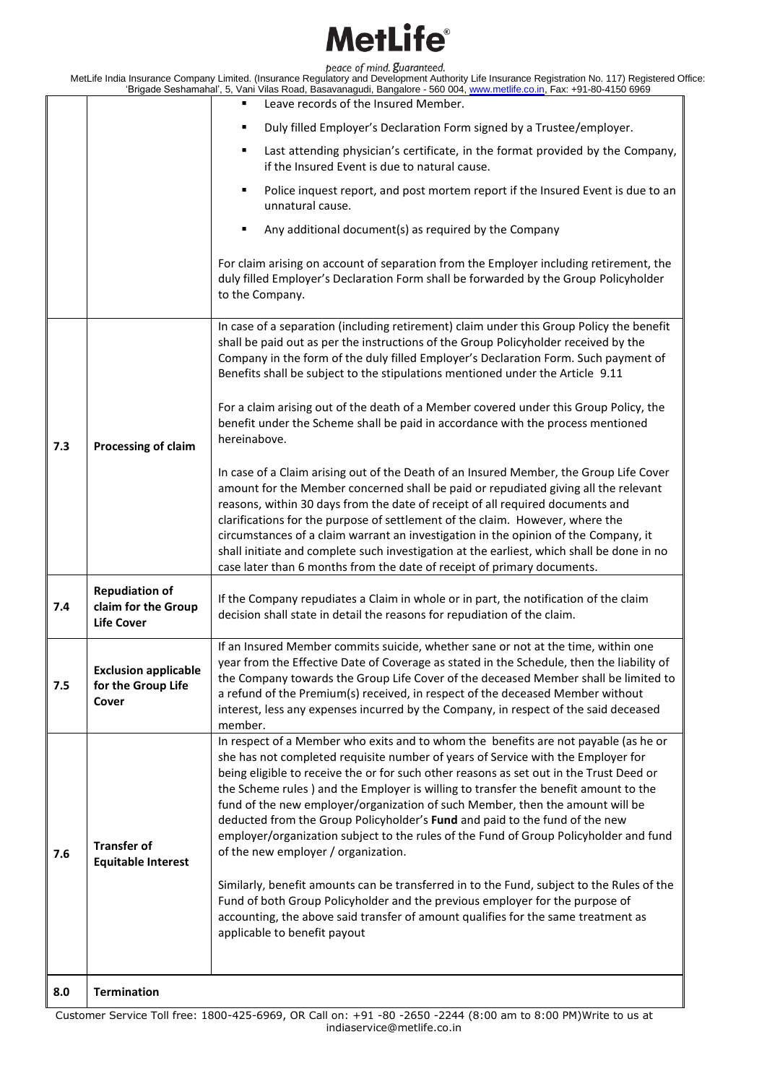|     |                                                                   | Leave records of the Insured Member.<br>٠                                                                                                                                                                                                                                                                                                                                                                                                                                                                                                                                                                                                                                                                                                                                                                                                                                                                                                                   |
|-----|-------------------------------------------------------------------|-------------------------------------------------------------------------------------------------------------------------------------------------------------------------------------------------------------------------------------------------------------------------------------------------------------------------------------------------------------------------------------------------------------------------------------------------------------------------------------------------------------------------------------------------------------------------------------------------------------------------------------------------------------------------------------------------------------------------------------------------------------------------------------------------------------------------------------------------------------------------------------------------------------------------------------------------------------|
|     |                                                                   | Duly filled Employer's Declaration Form signed by a Trustee/employer.                                                                                                                                                                                                                                                                                                                                                                                                                                                                                                                                                                                                                                                                                                                                                                                                                                                                                       |
|     |                                                                   | Last attending physician's certificate, in the format provided by the Company,<br>٠<br>if the Insured Event is due to natural cause.                                                                                                                                                                                                                                                                                                                                                                                                                                                                                                                                                                                                                                                                                                                                                                                                                        |
|     |                                                                   | Police inquest report, and post mortem report if the Insured Event is due to an<br>٠<br>unnatural cause.                                                                                                                                                                                                                                                                                                                                                                                                                                                                                                                                                                                                                                                                                                                                                                                                                                                    |
|     |                                                                   | Any additional document(s) as required by the Company<br>٠                                                                                                                                                                                                                                                                                                                                                                                                                                                                                                                                                                                                                                                                                                                                                                                                                                                                                                  |
|     |                                                                   | For claim arising on account of separation from the Employer including retirement, the<br>duly filled Employer's Declaration Form shall be forwarded by the Group Policyholder<br>to the Company.                                                                                                                                                                                                                                                                                                                                                                                                                                                                                                                                                                                                                                                                                                                                                           |
|     |                                                                   | In case of a separation (including retirement) claim under this Group Policy the benefit<br>shall be paid out as per the instructions of the Group Policyholder received by the<br>Company in the form of the duly filled Employer's Declaration Form. Such payment of<br>Benefits shall be subject to the stipulations mentioned under the Article 9.11                                                                                                                                                                                                                                                                                                                                                                                                                                                                                                                                                                                                    |
| 7.3 | Processing of claim                                               | For a claim arising out of the death of a Member covered under this Group Policy, the<br>benefit under the Scheme shall be paid in accordance with the process mentioned<br>hereinabove.                                                                                                                                                                                                                                                                                                                                                                                                                                                                                                                                                                                                                                                                                                                                                                    |
|     |                                                                   | In case of a Claim arising out of the Death of an Insured Member, the Group Life Cover<br>amount for the Member concerned shall be paid or repudiated giving all the relevant<br>reasons, within 30 days from the date of receipt of all required documents and<br>clarifications for the purpose of settlement of the claim. However, where the<br>circumstances of a claim warrant an investigation in the opinion of the Company, it<br>shall initiate and complete such investigation at the earliest, which shall be done in no<br>case later than 6 months from the date of receipt of primary documents.                                                                                                                                                                                                                                                                                                                                             |
| 7.4 | <b>Repudiation of</b><br>claim for the Group<br><b>Life Cover</b> | If the Company repudiates a Claim in whole or in part, the notification of the claim<br>decision shall state in detail the reasons for repudiation of the claim.                                                                                                                                                                                                                                                                                                                                                                                                                                                                                                                                                                                                                                                                                                                                                                                            |
| 7.5 | <b>Exclusion applicable</b><br>for the Group Life<br>Cover        | If an Insured Member commits suicide, whether sane or not at the time, within one<br>year from the Effective Date of Coverage as stated in the Schedule, then the liability of<br>the Company towards the Group Life Cover of the deceased Member shall be limited to<br>a refund of the Premium(s) received, in respect of the deceased Member without<br>interest, less any expenses incurred by the Company, in respect of the said deceased<br>member.                                                                                                                                                                                                                                                                                                                                                                                                                                                                                                  |
| 7.6 | <b>Transfer of</b><br><b>Equitable Interest</b>                   | In respect of a Member who exits and to whom the benefits are not payable (as he or<br>she has not completed requisite number of years of Service with the Employer for<br>being eligible to receive the or for such other reasons as set out in the Trust Deed or<br>the Scheme rules) and the Employer is willing to transfer the benefit amount to the<br>fund of the new employer/organization of such Member, then the amount will be<br>deducted from the Group Policyholder's Fund and paid to the fund of the new<br>employer/organization subject to the rules of the Fund of Group Policyholder and fund<br>of the new employer / organization.<br>Similarly, benefit amounts can be transferred in to the Fund, subject to the Rules of the<br>Fund of both Group Policyholder and the previous employer for the purpose of<br>accounting, the above said transfer of amount qualifies for the same treatment as<br>applicable to benefit payout |
| 8.0 | <b>Termination</b>                                                |                                                                                                                                                                                                                                                                                                                                                                                                                                                                                                                                                                                                                                                                                                                                                                                                                                                                                                                                                             |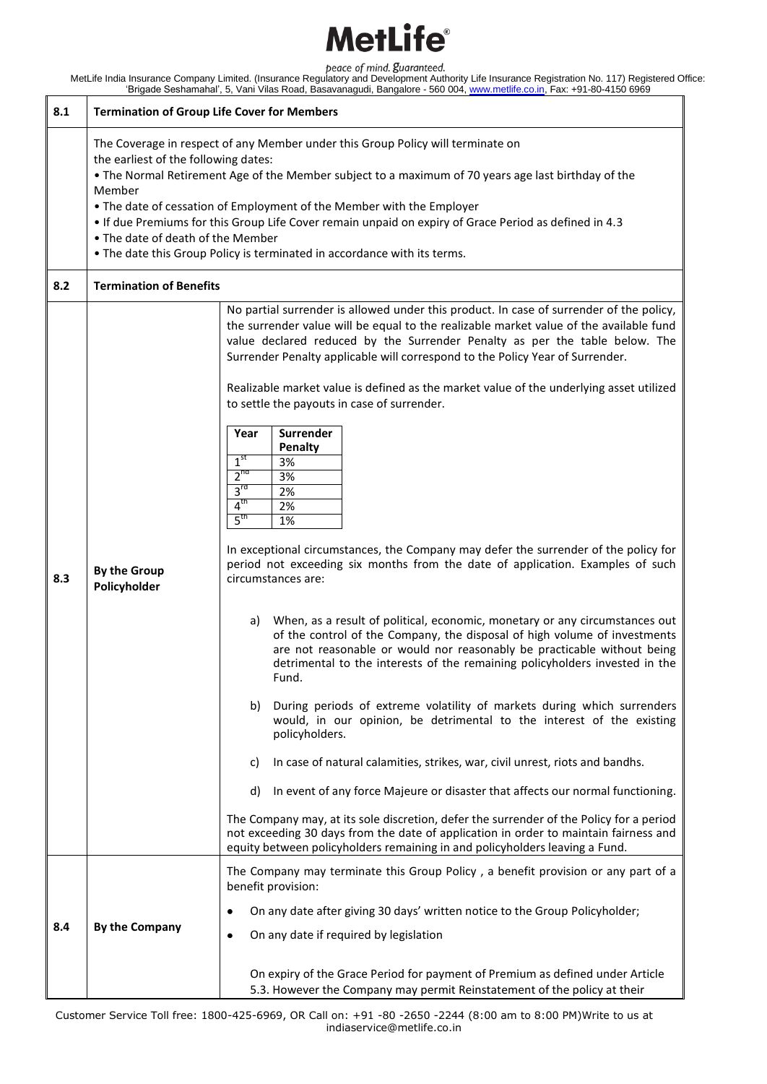| 8.1 | <b>Termination of Group Life Cover for Members</b>                                                                                                                                                                                                                                                                                                                                                                                                                                                                                          |                                                                                                                                                                                                                                                                                                                                                                                                                                                                                                                                                                                                                                                                                                                                                                                                                                                                                                                                                                                                                                                                                                                                                                                                                                                                                                                                                                                                                                                                                                                                                                                                                                                                                                                                                                                                                   |  |
|-----|---------------------------------------------------------------------------------------------------------------------------------------------------------------------------------------------------------------------------------------------------------------------------------------------------------------------------------------------------------------------------------------------------------------------------------------------------------------------------------------------------------------------------------------------|-------------------------------------------------------------------------------------------------------------------------------------------------------------------------------------------------------------------------------------------------------------------------------------------------------------------------------------------------------------------------------------------------------------------------------------------------------------------------------------------------------------------------------------------------------------------------------------------------------------------------------------------------------------------------------------------------------------------------------------------------------------------------------------------------------------------------------------------------------------------------------------------------------------------------------------------------------------------------------------------------------------------------------------------------------------------------------------------------------------------------------------------------------------------------------------------------------------------------------------------------------------------------------------------------------------------------------------------------------------------------------------------------------------------------------------------------------------------------------------------------------------------------------------------------------------------------------------------------------------------------------------------------------------------------------------------------------------------------------------------------------------------------------------------------------------------|--|
|     | The Coverage in respect of any Member under this Group Policy will terminate on<br>the earliest of the following dates:<br>. The Normal Retirement Age of the Member subject to a maximum of 70 years age last birthday of the<br>Member<br>• The date of cessation of Employment of the Member with the Employer<br>. If due Premiums for this Group Life Cover remain unpaid on expiry of Grace Period as defined in 4.3<br>• The date of death of the Member<br>. The date this Group Policy is terminated in accordance with its terms. |                                                                                                                                                                                                                                                                                                                                                                                                                                                                                                                                                                                                                                                                                                                                                                                                                                                                                                                                                                                                                                                                                                                                                                                                                                                                                                                                                                                                                                                                                                                                                                                                                                                                                                                                                                                                                   |  |
| 8.2 | <b>Termination of Benefits</b>                                                                                                                                                                                                                                                                                                                                                                                                                                                                                                              |                                                                                                                                                                                                                                                                                                                                                                                                                                                                                                                                                                                                                                                                                                                                                                                                                                                                                                                                                                                                                                                                                                                                                                                                                                                                                                                                                                                                                                                                                                                                                                                                                                                                                                                                                                                                                   |  |
| 8.3 | <b>By the Group</b><br>Policyholder                                                                                                                                                                                                                                                                                                                                                                                                                                                                                                         | No partial surrender is allowed under this product. In case of surrender of the policy,<br>the surrender value will be equal to the realizable market value of the available fund<br>value declared reduced by the Surrender Penalty as per the table below. The<br>Surrender Penalty applicable will correspond to the Policy Year of Surrender.<br>Realizable market value is defined as the market value of the underlying asset utilized<br>to settle the payouts in case of surrender.<br>Surrender<br>Year<br>Penalty<br>1 <sup>st</sup><br>3%<br>$2^{nd}$<br>3%<br>3 <sup>rd</sup><br>2%<br>4 <sup>th</sup><br>2%<br>5 <sup>th</sup><br>1%<br>In exceptional circumstances, the Company may defer the surrender of the policy for<br>period not exceeding six months from the date of application. Examples of such<br>circumstances are:<br>When, as a result of political, economic, monetary or any circumstances out<br>a)<br>of the control of the Company, the disposal of high volume of investments<br>are not reasonable or would nor reasonably be practicable without being<br>detrimental to the interests of the remaining policyholders invested in the<br>Fund.<br>b)<br>During periods of extreme volatility of markets during which surrenders<br>would, in our opinion, be detrimental to the interest of the existing<br>policyholders.<br>In case of natural calamities, strikes, war, civil unrest, riots and bandhs.<br>C)<br>d)<br>In event of any force Majeure or disaster that affects our normal functioning.<br>The Company may, at its sole discretion, defer the surrender of the Policy for a period<br>not exceeding 30 days from the date of application in order to maintain fairness and<br>equity between policyholders remaining in and policyholders leaving a Fund. |  |
| 8.4 | By the Company                                                                                                                                                                                                                                                                                                                                                                                                                                                                                                                              | The Company may terminate this Group Policy, a benefit provision or any part of a<br>benefit provision:<br>On any date after giving 30 days' written notice to the Group Policyholder;<br>٠<br>On any date if required by legislation<br>٠<br>On expiry of the Grace Period for payment of Premium as defined under Article<br>5.3. However the Company may permit Reinstatement of the policy at their                                                                                                                                                                                                                                                                                                                                                                                                                                                                                                                                                                                                                                                                                                                                                                                                                                                                                                                                                                                                                                                                                                                                                                                                                                                                                                                                                                                                           |  |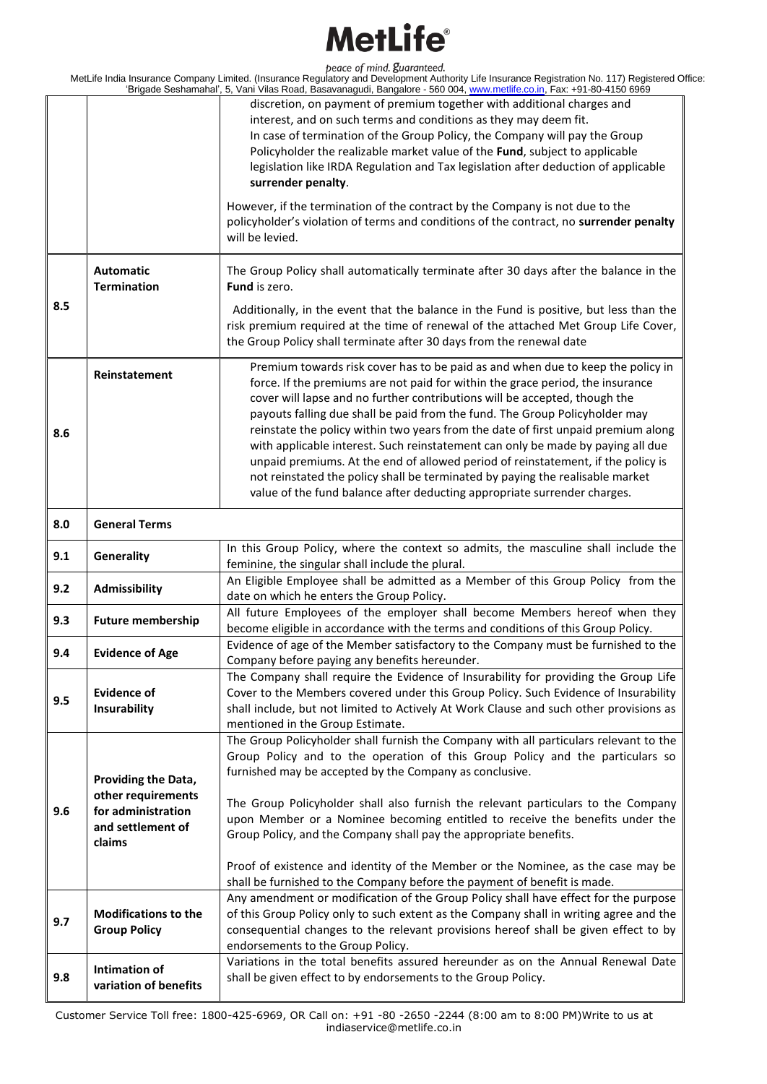|     |                                                                 | discretion, on payment of premium together with additional charges and<br>interest, and on such terms and conditions as they may deem fit.<br>In case of termination of the Group Policy, the Company will pay the Group<br>Policyholder the realizable market value of the Fund, subject to applicable<br>legislation like IRDA Regulation and Tax legislation after deduction of applicable<br>surrender penalty.                                                                                                                                                                                                                                                                                                                                     |
|-----|-----------------------------------------------------------------|---------------------------------------------------------------------------------------------------------------------------------------------------------------------------------------------------------------------------------------------------------------------------------------------------------------------------------------------------------------------------------------------------------------------------------------------------------------------------------------------------------------------------------------------------------------------------------------------------------------------------------------------------------------------------------------------------------------------------------------------------------|
|     |                                                                 | However, if the termination of the contract by the Company is not due to the<br>policyholder's violation of terms and conditions of the contract, no surrender penalty<br>will be levied.                                                                                                                                                                                                                                                                                                                                                                                                                                                                                                                                                               |
|     | <b>Automatic</b><br><b>Termination</b>                          | The Group Policy shall automatically terminate after 30 days after the balance in the<br>Fund is zero.                                                                                                                                                                                                                                                                                                                                                                                                                                                                                                                                                                                                                                                  |
| 8.5 |                                                                 | Additionally, in the event that the balance in the Fund is positive, but less than the<br>risk premium required at the time of renewal of the attached Met Group Life Cover,<br>the Group Policy shall terminate after 30 days from the renewal date                                                                                                                                                                                                                                                                                                                                                                                                                                                                                                    |
| 8.6 | Reinstatement                                                   | Premium towards risk cover has to be paid as and when due to keep the policy in<br>force. If the premiums are not paid for within the grace period, the insurance<br>cover will lapse and no further contributions will be accepted, though the<br>payouts falling due shall be paid from the fund. The Group Policyholder may<br>reinstate the policy within two years from the date of first unpaid premium along<br>with applicable interest. Such reinstatement can only be made by paying all due<br>unpaid premiums. At the end of allowed period of reinstatement, if the policy is<br>not reinstated the policy shall be terminated by paying the realisable market<br>value of the fund balance after deducting appropriate surrender charges. |
| 8.0 | <b>General Terms</b>                                            |                                                                                                                                                                                                                                                                                                                                                                                                                                                                                                                                                                                                                                                                                                                                                         |
| 9.1 | Generality                                                      | In this Group Policy, where the context so admits, the masculine shall include the<br>feminine, the singular shall include the plural.                                                                                                                                                                                                                                                                                                                                                                                                                                                                                                                                                                                                                  |
| 9.2 | <b>Admissibility</b>                                            | An Eligible Employee shall be admitted as a Member of this Group Policy from the<br>date on which he enters the Group Policy.                                                                                                                                                                                                                                                                                                                                                                                                                                                                                                                                                                                                                           |
| 9.3 | <b>Future membership</b>                                        | All future Employees of the employer shall become Members hereof when they<br>become eligible in accordance with the terms and conditions of this Group Policy.                                                                                                                                                                                                                                                                                                                                                                                                                                                                                                                                                                                         |
| 9.4 | <b>Evidence of Age</b>                                          | Evidence of age of the Member satisfactory to the Company must be furnished to the<br>Company before paying any benefits hereunder.                                                                                                                                                                                                                                                                                                                                                                                                                                                                                                                                                                                                                     |
| 9.5 | <b>Evidence of</b><br>Insurability                              | The Company shall require the Evidence of Insurability for providing the Group Life<br>Cover to the Members covered under this Group Policy. Such Evidence of Insurability<br>shall include, but not limited to Actively At Work Clause and such other provisions as<br>mentioned in the Group Estimate.                                                                                                                                                                                                                                                                                                                                                                                                                                                |
| 9.6 | Providing the Data,<br>other requirements<br>for administration | The Group Policyholder shall furnish the Company with all particulars relevant to the<br>Group Policy and to the operation of this Group Policy and the particulars so<br>furnished may be accepted by the Company as conclusive.<br>The Group Policyholder shall also furnish the relevant particulars to the Company                                                                                                                                                                                                                                                                                                                                                                                                                                  |
|     | and settlement of<br>claims                                     | upon Member or a Nominee becoming entitled to receive the benefits under the<br>Group Policy, and the Company shall pay the appropriate benefits.<br>Proof of existence and identity of the Member or the Nominee, as the case may be                                                                                                                                                                                                                                                                                                                                                                                                                                                                                                                   |
|     |                                                                 | shall be furnished to the Company before the payment of benefit is made.                                                                                                                                                                                                                                                                                                                                                                                                                                                                                                                                                                                                                                                                                |
| 9.7 | <b>Modifications to the</b><br><b>Group Policy</b>              | Any amendment or modification of the Group Policy shall have effect for the purpose<br>of this Group Policy only to such extent as the Company shall in writing agree and the<br>consequential changes to the relevant provisions hereof shall be given effect to by<br>endorsements to the Group Policy.                                                                                                                                                                                                                                                                                                                                                                                                                                               |
| 9.8 | Intimation of<br>variation of benefits                          | Variations in the total benefits assured hereunder as on the Annual Renewal Date<br>shall be given effect to by endorsements to the Group Policy.                                                                                                                                                                                                                                                                                                                                                                                                                                                                                                                                                                                                       |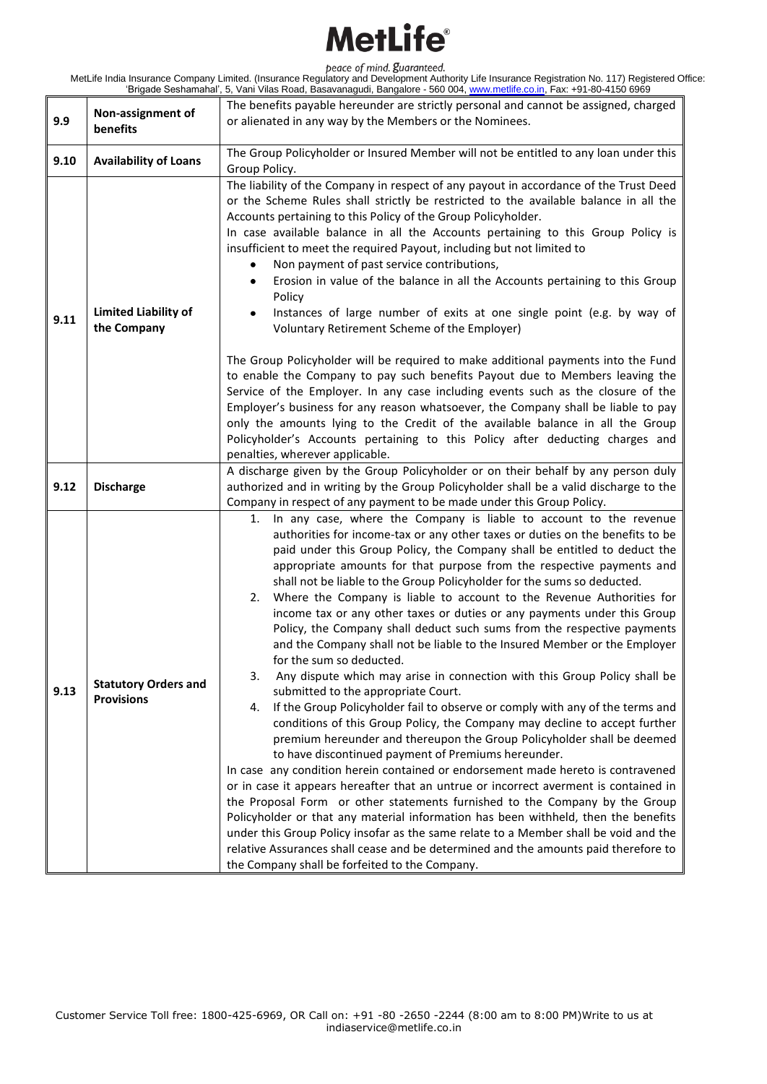| 9.9  | Non-assignment of<br>benefits                    | The benefits payable hereunder are strictly personal and cannot be assigned, charged                                                                                                                                                                                                                                                                                                                                                                                                                                                                                                                                                                                                                                                                                                                                                                                                                                                                                                                                                                                                                                                                                                                                                                                                                                                                                                                                                                                                                                                                                                                                                                                                                                                                        |
|------|--------------------------------------------------|-------------------------------------------------------------------------------------------------------------------------------------------------------------------------------------------------------------------------------------------------------------------------------------------------------------------------------------------------------------------------------------------------------------------------------------------------------------------------------------------------------------------------------------------------------------------------------------------------------------------------------------------------------------------------------------------------------------------------------------------------------------------------------------------------------------------------------------------------------------------------------------------------------------------------------------------------------------------------------------------------------------------------------------------------------------------------------------------------------------------------------------------------------------------------------------------------------------------------------------------------------------------------------------------------------------------------------------------------------------------------------------------------------------------------------------------------------------------------------------------------------------------------------------------------------------------------------------------------------------------------------------------------------------------------------------------------------------------------------------------------------------|
|      |                                                  | or alienated in any way by the Members or the Nominees.                                                                                                                                                                                                                                                                                                                                                                                                                                                                                                                                                                                                                                                                                                                                                                                                                                                                                                                                                                                                                                                                                                                                                                                                                                                                                                                                                                                                                                                                                                                                                                                                                                                                                                     |
|      |                                                  |                                                                                                                                                                                                                                                                                                                                                                                                                                                                                                                                                                                                                                                                                                                                                                                                                                                                                                                                                                                                                                                                                                                                                                                                                                                                                                                                                                                                                                                                                                                                                                                                                                                                                                                                                             |
|      |                                                  | The Group Policyholder or Insured Member will not be entitled to any loan under this                                                                                                                                                                                                                                                                                                                                                                                                                                                                                                                                                                                                                                                                                                                                                                                                                                                                                                                                                                                                                                                                                                                                                                                                                                                                                                                                                                                                                                                                                                                                                                                                                                                                        |
| 9.10 | <b>Availability of Loans</b>                     | Group Policy.                                                                                                                                                                                                                                                                                                                                                                                                                                                                                                                                                                                                                                                                                                                                                                                                                                                                                                                                                                                                                                                                                                                                                                                                                                                                                                                                                                                                                                                                                                                                                                                                                                                                                                                                               |
| 9.11 | <b>Limited Liability of</b><br>the Company       | The liability of the Company in respect of any payout in accordance of the Trust Deed<br>or the Scheme Rules shall strictly be restricted to the available balance in all the<br>Accounts pertaining to this Policy of the Group Policyholder.<br>In case available balance in all the Accounts pertaining to this Group Policy is<br>insufficient to meet the required Payout, including but not limited to<br>Non payment of past service contributions,<br>٠<br>Erosion in value of the balance in all the Accounts pertaining to this Group<br>٠<br>Policy<br>Instances of large number of exits at one single point (e.g. by way of<br>٠<br>Voluntary Retirement Scheme of the Employer)<br>The Group Policyholder will be required to make additional payments into the Fund<br>to enable the Company to pay such benefits Payout due to Members leaving the<br>Service of the Employer. In any case including events such as the closure of the<br>Employer's business for any reason whatsoever, the Company shall be liable to pay<br>only the amounts lying to the Credit of the available balance in all the Group                                                                                                                                                                                                                                                                                                                                                                                                                                                                                                                                                                                                                               |
|      |                                                  | Policyholder's Accounts pertaining to this Policy after deducting charges and                                                                                                                                                                                                                                                                                                                                                                                                                                                                                                                                                                                                                                                                                                                                                                                                                                                                                                                                                                                                                                                                                                                                                                                                                                                                                                                                                                                                                                                                                                                                                                                                                                                                               |
|      |                                                  | penalties, wherever applicable.                                                                                                                                                                                                                                                                                                                                                                                                                                                                                                                                                                                                                                                                                                                                                                                                                                                                                                                                                                                                                                                                                                                                                                                                                                                                                                                                                                                                                                                                                                                                                                                                                                                                                                                             |
| 9.12 | <b>Discharge</b>                                 | A discharge given by the Group Policyholder or on their behalf by any person duly<br>authorized and in writing by the Group Policyholder shall be a valid discharge to the<br>Company in respect of any payment to be made under this Group Policy.                                                                                                                                                                                                                                                                                                                                                                                                                                                                                                                                                                                                                                                                                                                                                                                                                                                                                                                                                                                                                                                                                                                                                                                                                                                                                                                                                                                                                                                                                                         |
| 9.13 | <b>Statutory Orders and</b><br><b>Provisions</b> | In any case, where the Company is liable to account to the revenue<br>1.<br>authorities for income-tax or any other taxes or duties on the benefits to be<br>paid under this Group Policy, the Company shall be entitled to deduct the<br>appropriate amounts for that purpose from the respective payments and<br>shall not be liable to the Group Policyholder for the sums so deducted.<br>Where the Company is liable to account to the Revenue Authorities for<br>2.<br>income tax or any other taxes or duties or any payments under this Group<br>Policy, the Company shall deduct such sums from the respective payments<br>and the Company shall not be liable to the Insured Member or the Employer<br>for the sum so deducted.<br>3.<br>Any dispute which may arise in connection with this Group Policy shall be<br>submitted to the appropriate Court.<br>If the Group Policyholder fail to observe or comply with any of the terms and<br>4.<br>conditions of this Group Policy, the Company may decline to accept further<br>premium hereunder and thereupon the Group Policyholder shall be deemed<br>to have discontinued payment of Premiums hereunder.<br>In case any condition herein contained or endorsement made hereto is contravened<br>or in case it appears hereafter that an untrue or incorrect averment is contained in<br>the Proposal Form or other statements furnished to the Company by the Group<br>Policyholder or that any material information has been withheld, then the benefits<br>under this Group Policy insofar as the same relate to a Member shall be void and the<br>relative Assurances shall cease and be determined and the amounts paid therefore to<br>the Company shall be forfeited to the Company. |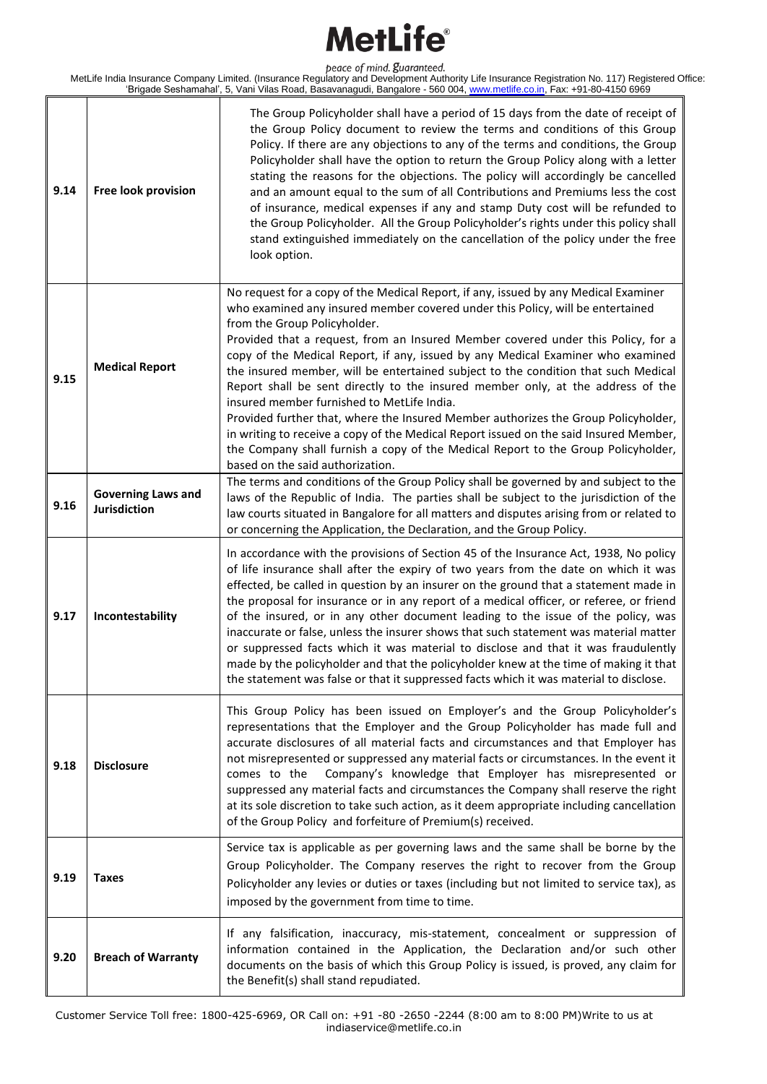| 9.14 | Free look provision                       | The Group Policyholder shall have a period of 15 days from the date of receipt of<br>the Group Policy document to review the terms and conditions of this Group<br>Policy. If there are any objections to any of the terms and conditions, the Group<br>Policyholder shall have the option to return the Group Policy along with a letter<br>stating the reasons for the objections. The policy will accordingly be cancelled<br>and an amount equal to the sum of all Contributions and Premiums less the cost<br>of insurance, medical expenses if any and stamp Duty cost will be refunded to<br>the Group Policyholder. All the Group Policyholder's rights under this policy shall<br>stand extinguished immediately on the cancellation of the policy under the free<br>look option.                                                                                                                  |
|------|-------------------------------------------|-------------------------------------------------------------------------------------------------------------------------------------------------------------------------------------------------------------------------------------------------------------------------------------------------------------------------------------------------------------------------------------------------------------------------------------------------------------------------------------------------------------------------------------------------------------------------------------------------------------------------------------------------------------------------------------------------------------------------------------------------------------------------------------------------------------------------------------------------------------------------------------------------------------|
| 9.15 | <b>Medical Report</b>                     | No request for a copy of the Medical Report, if any, issued by any Medical Examiner<br>who examined any insured member covered under this Policy, will be entertained<br>from the Group Policyholder.<br>Provided that a request, from an Insured Member covered under this Policy, for a<br>copy of the Medical Report, if any, issued by any Medical Examiner who examined<br>the insured member, will be entertained subject to the condition that such Medical<br>Report shall be sent directly to the insured member only, at the address of the<br>insured member furnished to MetLife India.<br>Provided further that, where the Insured Member authorizes the Group Policyholder,<br>in writing to receive a copy of the Medical Report issued on the said Insured Member,<br>the Company shall furnish a copy of the Medical Report to the Group Policyholder,<br>based on the said authorization. |
| 9.16 | <b>Governing Laws and</b><br>Jurisdiction | The terms and conditions of the Group Policy shall be governed by and subject to the<br>laws of the Republic of India. The parties shall be subject to the jurisdiction of the<br>law courts situated in Bangalore for all matters and disputes arising from or related to<br>or concerning the Application, the Declaration, and the Group Policy.                                                                                                                                                                                                                                                                                                                                                                                                                                                                                                                                                         |
| 9.17 | Incontestability                          | In accordance with the provisions of Section 45 of the Insurance Act, 1938, No policy<br>of life insurance shall after the expiry of two years from the date on which it was<br>effected, be called in question by an insurer on the ground that a statement made in<br>the proposal for insurance or in any report of a medical officer, or referee, or friend<br>of the insured, or in any other document leading to the issue of the policy, was<br>inaccurate or false, unless the insurer shows that such statement was material matter<br>or suppressed facts which it was material to disclose and that it was fraudulently<br>made by the policyholder and that the policyholder knew at the time of making it that<br>the statement was false or that it suppressed facts which it was material to disclose.                                                                                       |
| 9.18 | <b>Disclosure</b>                         | This Group Policy has been issued on Employer's and the Group Policyholder's<br>representations that the Employer and the Group Policyholder has made full and<br>accurate disclosures of all material facts and circumstances and that Employer has<br>not misrepresented or suppressed any material facts or circumstances. In the event it<br>Company's knowledge that Employer has misrepresented or<br>comes to the<br>suppressed any material facts and circumstances the Company shall reserve the right<br>at its sole discretion to take such action, as it deem appropriate including cancellation<br>of the Group Policy and forfeiture of Premium(s) received.                                                                                                                                                                                                                                  |
| 9.19 | <b>Taxes</b>                              | Service tax is applicable as per governing laws and the same shall be borne by the<br>Group Policyholder. The Company reserves the right to recover from the Group<br>Policyholder any levies or duties or taxes (including but not limited to service tax), as<br>imposed by the government from time to time.                                                                                                                                                                                                                                                                                                                                                                                                                                                                                                                                                                                             |
| 9.20 | <b>Breach of Warranty</b>                 | If any falsification, inaccuracy, mis-statement, concealment or suppression of<br>information contained in the Application, the Declaration and/or such other<br>documents on the basis of which this Group Policy is issued, is proved, any claim for<br>the Benefit(s) shall stand repudiated.                                                                                                                                                                                                                                                                                                                                                                                                                                                                                                                                                                                                            |